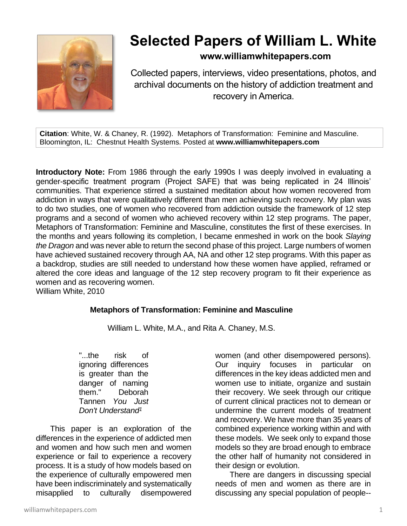

# **Selected Papers of William L. White**

## **www.williamwhitepapers.com**

Collected papers, interviews, video presentations, photos, and archival documents on the history of addiction treatment and recovery in America.

**Citation**: White, W. & Chaney, R. (1992). Metaphors of Transformation: Feminine and Masculine. Bloomington, IL: Chestnut Health Systems. Posted at **www.williamwhitepapers.com**

**Introductory Note:** From 1986 through the early 1990s I was deeply involved in evaluating a gender-specific treatment program (Project SAFE) that was being replicated in 24 Illinois' communities. That experience stirred a sustained meditation about how women recovered from addiction in ways that were qualitatively different than men achieving such recovery. My plan was to do two studies, one of women who recovered from addiction outside the framework of 12 step programs and a second of women who achieved recovery within 12 step programs. The paper, Metaphors of Transformation: Feminine and Masculine, constitutes the first of these exercises. In the months and years following its completion, I became enmeshed in work on the book *Slaying the Dragon* and was never able to return the second phase of this project. Large numbers of women have achieved sustained recovery through AA, NA and other 12 step programs. With this paper as a backdrop, studies are still needed to understand how these women have applied, reframed or altered the core ideas and language of the 12 step recovery program to fit their experience as women and as recovering women.

William White, 2010

#### **Metaphors of Transformation: Feminine and Masculine**

William L. White, M.A., and Rita A. Chaney, M.S.

"...the risk of ignoring differences is greater than the danger of naming them." Deborah Tannen *You Just Don't Understand<sup>1</sup>*

This paper is an exploration of the differences in the experience of addicted men and women and how such men and women experience or fail to experience a recovery process. It is a study of how models based on the experience of culturally empowered men have been indiscriminately and systematically misapplied to culturally disempowered

women (and other disempowered persons). Our inquiry focuses in particular on differences in the key ideas addicted men and women use to initiate, organize and sustain their recovery. We seek through our critique of current clinical practices not to demean or undermine the current models of treatment and recovery. We have more than 35 years of combined experience working within and with these models. We seek only to expand those models so they are broad enough to embrace the other half of humanity not considered in their design or evolution.

There are dangers in discussing special needs of men and women as there are in discussing any special population of people--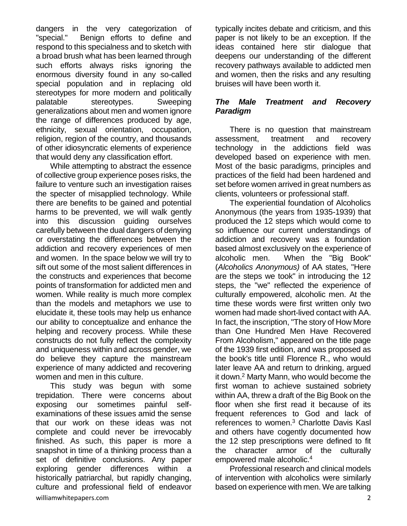dangers in the very categorization of "special." Benign efforts to define and respond to this specialness and to sketch with a broad brush what has been learned through such efforts always risks ignoring the enormous diversity found in any so-called special population and in replacing old stereotypes for more modern and politically palatable stereotypes. Sweeping generalizations about men and women ignore the range of differences produced by age, ethnicity, sexual orientation, occupation, religion, region of the country, and thousands of other idiosyncratic elements of experience that would deny any classification effort.

While attempting to abstract the essence of collective group experience poses risks, the failure to venture such an investigation raises the specter of misapplied technology. While there are benefits to be gained and potential harms to be prevented, we will walk gently into this discussion guiding ourselves carefully between the dual dangers of denying or overstating the differences between the addiction and recovery experiences of men and women. In the space below we will try to sift out some of the most salient differences in the constructs and experiences that become points of transformation for addicted men and women. While reality is much more complex than the models and metaphors we use to elucidate it, these tools may help us enhance our ability to conceptualize and enhance the helping and recovery process. While these constructs do not fully reflect the complexity and uniqueness within and across gender, we do believe they capture the mainstream experience of many addicted and recovering women and men in this culture.

williamwhitepapers.com 2008 and 2008 and 2008 and 2008 and 2008 and 2008 and 2008 and 2008 and 2008 and 2008 and 2008 and 2008 and 2008 and 2008 and 2008 and 2008 and 2008 and 2008 and 2008 and 2008 and 2008 and 2008 and 2 This study was begun with some trepidation. There were concerns about exposing our sometimes painful selfexaminations of these issues amid the sense that our work on these ideas was not complete and could never be irrevocably finished. As such, this paper is more a snapshot in time of a thinking process than a set of definitive conclusions. Any paper exploring gender differences within a historically patriarchal, but rapidly changing, culture and professional field of endeavor

typically incites debate and criticism, and this paper is not likely to be an exception. If the ideas contained here stir dialogue that deepens our understanding of the different recovery pathways available to addicted men and women, then the risks and any resulting bruises will have been worth it.

## *The Male Treatment and Recovery Paradigm*

There is no question that mainstream assessment, treatment and recovery technology in the addictions field was developed based on experience with men. Most of the basic paradigms, principles and practices of the field had been hardened and set before women arrived in great numbers as clients, volunteers or professional staff.

The experiential foundation of Alcoholics Anonymous (the years from 1935-1939) that produced the 12 steps which would come to so influence our current understandings of addiction and recovery was a foundation based almost exclusively on the experience of alcoholic men. When the "Big Book" (*Alcoholics Anonymous)* of AA states, "Here are the steps we took" in introducing the 12 steps, the "we" reflected the experience of culturally empowered, alcoholic men. At the time these words were first written only two women had made short-lived contact with AA. In fact, the inscription, "The story of How More than One Hundred Men Have Recovered From Alcoholism," appeared on the title page of the 1939 first edition, and was proposed as the book's title until Florence R., who would later leave AA and return to drinking, argued it down.<sup>2</sup> Marty Mann, who would become the first woman to achieve sustained sobriety within AA, threw a draft of the Big Book on the floor when she first read it because of its frequent references to God and lack of references to women.<sup>3</sup> Charlotte Davis Kasl and others have cogently documented how the 12 step prescriptions were defined to fit the character armor of the culturally empowered male alcoholic.<sup>4</sup>

Professional research and clinical models of intervention with alcoholics were similarly based on experience with men. We are talking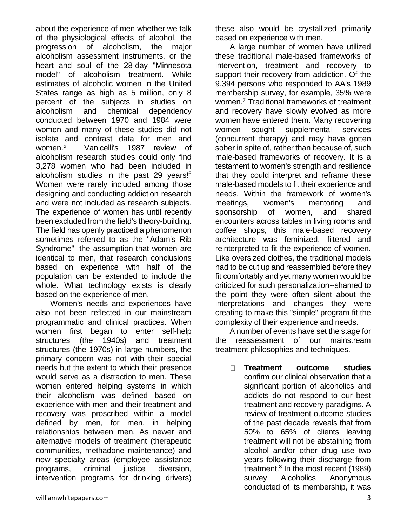about the experience of men whether we talk of the physiological effects of alcohol, the progression of alcoholism, the major alcoholism assessment instruments, or the heart and soul of the 28-day "Minnesota model" of alcoholism treatment. While estimates of alcoholic women in the United States range as high as 5 million, only 8 percent of the subjects in studies on alcoholism and chemical dependency conducted between 1970 and 1984 were women and many of these studies did not isolate and contrast data for men and women.<sup>5</sup> Vanicelli's 1987 review of alcoholism research studies could only find 3,278 women who had been included in alcoholism studies in the past 29 years!<sup>6</sup> Women were rarely included among those designing and conducting addiction research and were not included as research subjects. The experience of women has until recently been excluded from the field's theory-building. The field has openly practiced a phenomenon sometimes referred to as the "Adam's Rib Syndrome"--the assumption that women are identical to men, that research conclusions based on experience with half of the population can be extended to include the whole. What technology exists is clearly based on the experience of men.

Women's needs and experiences have also not been reflected in our mainstream programmatic and clinical practices. When women first began to enter self-help structures (the 1940s) and treatment structures (the 1970s) in large numbers, the primary concern was not with their special needs but the extent to which their presence would serve as a distraction to men. These women entered helping systems in which their alcoholism was defined based on experience with men and their treatment and recovery was proscribed within a model defined by men, for men, in helping relationships between men. As newer and alternative models of treatment (therapeutic communities, methadone maintenance) and new specialty areas (employee assistance programs, criminal justice diversion, intervention programs for drinking drivers) these also would be crystallized primarily based on experience with men.

A large number of women have utilized these traditional male-based frameworks of intervention, treatment and recovery to support their recovery from addiction. Of the 9,394 persons who responded to AA's 1989 membership survey, for example, 35% were women.<sup>7</sup> Traditional frameworks of treatment and recovery have slowly evolved as more women have entered them. Many recovering women sought supplemental services (concurrent therapy) and may have gotten sober in spite of, rather than because of, such male-based frameworks of recovery. It is a testament to women's strength and resilience that they could interpret and reframe these male-based models to fit their experience and needs. Within the framework of women's meetings, women's mentoring and sponsorship of women, and shared encounters across tables in living rooms and coffee shops, this male-based recovery architecture was feminized, filtered and reinterpreted to fit the experience of women. Like oversized clothes, the traditional models had to be cut up and reassembled before they fit comfortably and yet many women would be criticized for such personalization--shamed to the point they were often silent about the interpretations and changes they were creating to make this "simple" program fit the complexity of their experience and needs.

A number of events have set the stage for the reassessment of our mainstream treatment philosophies and techniques.

 $\Box$ **Treatment outcome studies** confirm our clinical observation that a significant portion of alcoholics and addicts do not respond to our best treatment and recovery paradigms. A review of treatment outcome studies of the past decade reveals that from 50% to 65% of clients leaving treatment will not be abstaining from alcohol and/or other drug use two years following their discharge from treatment.<sup>8</sup> In the most recent (1989) survey Alcoholics Anonymous conducted of its membership, it was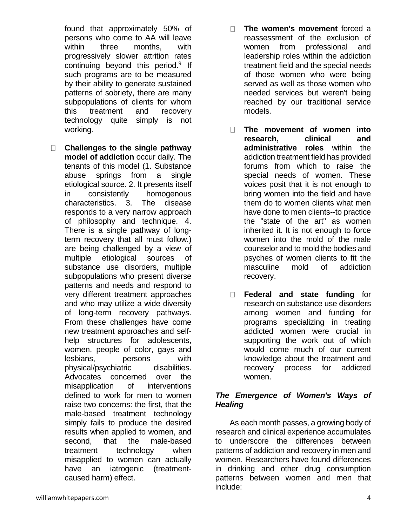found that approximately 50% of persons who come to AA will leave within three months, with progressively slower attrition rates continuing beyond this period.<sup>9</sup> If such programs are to be measured by their ability to generate sustained patterns of sobriety, there are many subpopulations of clients for whom this treatment and recovery technology quite simply is not working.

- $\Box$ **Challenges to the single pathway model of addiction** occur daily. The tenants of this model (1. Substance abuse springs from a single etiological source. 2. It presents itself in consistently homogenous characteristics. 3. The disease responds to a very narrow approach of philosophy and technique. 4. There is a single pathway of longterm recovery that all must follow.) are being challenged by a view of multiple etiological sources of substance use disorders, multiple subpopulations who present diverse patterns and needs and respond to very different treatment approaches and who may utilize a wide diversity of long-term recovery pathways. From these challenges have come new treatment approaches and selfhelp structures for adolescents, women, people of color, gays and lesbians, persons with physical/psychiatric disabilities. Advocates concerned over the misapplication of interventions defined to work for men to women raise two concerns: the first, that the male-based treatment technology simply fails to produce the desired results when applied to women, and second, that the male-based treatment technology when misapplied to women can actually have an iatrogenic (treatmentcaused harm) effect.
- **The women's movement** forced a  $\Box$ reassessment of the exclusion of women from professional and leadership roles within the addiction treatment field and the special needs of those women who were being served as well as those women who needed services but weren't being reached by our traditional service models.
- $\Box$ **The movement of women into research, clinical and administrative roles** within the addiction treatment field has provided forums from which to raise the special needs of women. These voices posit that it is not enough to bring women into the field and have them do to women clients what men have done to men clients--to practice the "state of the art" as women inherited it. It is not enough to force women into the mold of the male counselor and to mold the bodies and psyches of women clients to fit the masculine mold of addiction recovery.
- $\Box$ **Federal and state funding** for research on substance use disorders among women and funding for programs specializing in treating addicted women were crucial in supporting the work out of which would come much of our current knowledge about the treatment and recovery process for addicted women.

## *The Emergence of Women's Ways of Healing*

As each month passes, a growing body of research and clinical experience accumulates to underscore the differences between patterns of addiction and recovery in men and women. Researchers have found differences in drinking and other drug consumption patterns between women and men that include: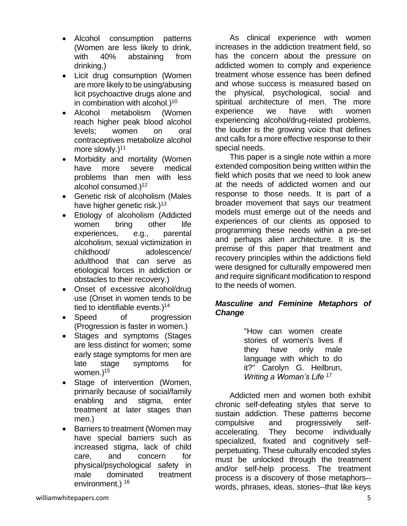- Alcohol consumption patterns (Women are less likely to drink, with 40% abstaining from drinking.)
- Licit drug consumption (Women are more likely to be using/abusing licit psychoactive drugs alone and in combination with alcohol. $1^{10}$
- Alcohol metabolism (Women reach higher peak blood alcohol levels; women on oral contraceptives metabolize alcohol more slowly. $)^{11}$
- Morbidity and mortality (Women have more severe medical problems than men with less alcohol consumed.)<sup>12</sup>
- Genetic risk of alcoholism (Males have higher genetic risk.)<sup>13</sup>
- Etiology of alcoholism (Addicted women bring other life experiences, e.g., parental alcoholism, sexual victimization in childhood/ adolescence/ adulthood that can serve as etiological forces in addiction or obstacles to their recovery.)
- Onset of excessive alcohol/drug use (Onset in women tends to be tied to identifiable events.)<sup>14</sup>
- Speed of progression (Progression is faster in women.)
- Stages and symptoms (Stages are less distinct for women; some early stage symptoms for men are late stage symptoms for women.)<sup>15</sup>
- Stage of intervention (Women, primarily because of social/family enabling and stigma, enter treatment at later stages than men.)
- Barriers to treatment (Women may have special barriers such as increased stigma, lack of child care, and concern for physical/psychological safety in male dominated treatment environment.) <sup>16</sup>

As clinical experience with women increases in the addiction treatment field, so has the concern about the pressure on addicted women to comply and experience treatment whose essence has been defined and whose success is measured based on the physical, psychological, social and spiritual architecture of men. The more experience we have with women experiencing alcohol/drug-related problems, the louder is the growing voice that defines and calls for a more effective response to their special needs.

This paper is a single note within a more extended composition being written within the field which posits that we need to look anew at the needs of addicted women and our response to those needs. It is part of a broader movement that says our treatment models must emerge out of the needs and experiences of our clients as opposed to programming these needs within a pre-set and perhaps alien architecture. It is the premise of this paper that treatment and recovery principles within the addictions field were designed for culturally empowered men and require significant modification to respond to the needs of women.

## *Masculine and Feminine Metaphors of Change*

"How can women create stories of women's lives if they have only male language with which to do it?" Carolyn G. Heilbrun, *Writing a Woman's Life* <sup>17</sup>

Addicted men and women both exhibit chronic self-defeating styles that serve to sustain addiction. These patterns become compulsive and progressively selfaccelerating. They become individually specialized, fixated and cognitively selfperpetuating. These culturally encoded styles must be unlocked through the treatment and/or self-help process. The treatment process is a discovery of those metaphors- words, phrases, ideas, stories--that like keys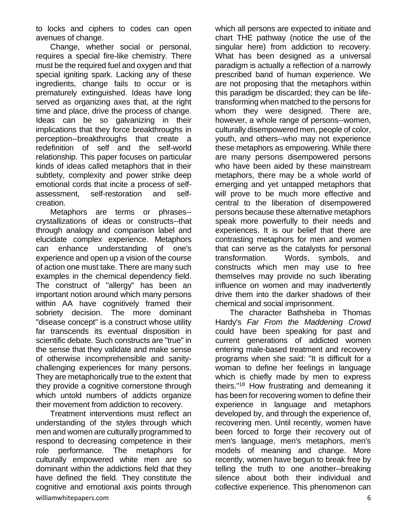to locks and ciphers to codes can open avenues of change.

Change, whether social or personal, requires a special fire-like chemistry. There must be the required fuel and oxygen and that special igniting spark. Lacking any of these ingredients, change fails to occur or is prematurely extinguished. Ideas have long served as organizing axes that, at the right time and place, drive the process of change. Ideas can be so galvanizing in their implications that they force breakthroughs in perception--breakthroughs that create a redefinition of self and the self-world relationship. This paper focuses on particular kinds of ideas called metaphors that in their subtlety, complexity and power strike deep emotional cords that incite a process of selfassessment, self-restoration and selfcreation.

Metaphors are terms or phrases- crystallizations of ideas or constructs--that through analogy and comparison label and elucidate complex experience. Metaphors can enhance understanding of one's experience and open up a vision of the course of action one must take. There are many such examples in the chemical dependency field. The construct of "allergy" has been an important notion around which many persons within AA have cognitively framed their sobriety decision. The more dominant "disease concept" is a construct whose utility far transcends its eventual disposition in scientific debate. Such constructs are "true" in the sense that they validate and make sense of otherwise incomprehensible and sanitychallenging experiences for many persons. They are metaphorically true to the extent that they provide a cognitive cornerstone through which untold numbers of addicts organize their movement from addiction to recovery.

williamwhitepapers.com 6 Treatment interventions must reflect an understanding of the styles through which men and women are culturally programmed to respond to decreasing competence in their role performance. The metaphors for culturally empowered white men are so dominant within the addictions field that they have defined the field. They constitute the cognitive and emotional axis points through

which all persons are expected to initiate and chart THE pathway (notice the use of the singular here) from addiction to recovery. What has been designed as a universal paradigm is actually a reflection of a narrowly prescribed band of human experience. We are not proposing that the metaphors within this paradigm be discarded; they can be lifetransforming when matched to the persons for whom they were designed. There are, however, a whole range of persons--women, culturally disempowered men, people of color, youth, and others--who may not experience these metaphors as empowering. While there are many persons disempowered persons who have been aided by these mainstream metaphors, there may be a whole world of emerging and yet untapped metaphors that will prove to be much more effective and central to the liberation of disempowered persons because these alternative metaphors speak more powerfully to their needs and experiences. It is our belief that there are contrasting metaphors for men and women that can serve as the catalysts for personal transformation. Words, symbols, and constructs which men may use to free themselves may provide no such liberating influence on women and may inadvertently drive them into the darker shadows of their chemical and social imprisonment.

The character Bathsheba in Thomas Hardy's *Far From the Maddening Crowd* could have been speaking for past and current generations of addicted women entering male-based treatment and recovery programs when she said: "It is difficult for a woman to define her feelings in language which is chiefly made by men to express theirs."<sup>18</sup> How frustrating and demeaning it has been for recovering women to define their experience in language and metaphors developed by, and through the experience of, recovering men. Until recently, women have been forced to forge their recovery out of men's language, men's metaphors, men's models of meaning and change. More recently, women have begun to break free by telling the truth to one another--breaking silence about both their individual and collective experience. This phenomenon can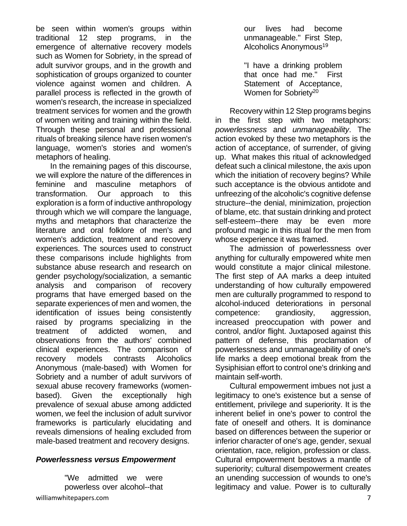be seen within women's groups within traditional 12 step programs, in the emergence of alternative recovery models such as Women for Sobriety, in the spread of adult survivor groups, and in the growth and sophistication of groups organized to counter violence against women and children. A parallel process is reflected in the growth of women's research, the increase in specialized treatment services for women and the growth of women writing and training within the field. Through these personal and professional rituals of breaking silence have risen women's language, women's stories and women's metaphors of healing.

In the remaining pages of this discourse, we will explore the nature of the differences in feminine and masculine metaphors of transformation. Our approach to this exploration is a form of inductive anthropology through which we will compare the language, myths and metaphors that characterize the literature and oral folklore of men's and women's addiction, treatment and recovery experiences. The sources used to construct these comparisons include highlights from substance abuse research and research on gender psychology/socialization, a semantic analysis and comparison of recovery programs that have emerged based on the separate experiences of men and women, the identification of issues being consistently raised by programs specializing in the treatment of addicted women, and observations from the authors' combined clinical experiences. The comparison of recovery models contrasts Alcoholics Anonymous (male-based) with Women for Sobriety and a number of adult survivors of sexual abuse recovery frameworks (womenbased). Given the exceptionally high prevalence of sexual abuse among addicted women, we feel the inclusion of adult survivor frameworks is particularly elucidating and reveals dimensions of healing excluded from male-based treatment and recovery designs.

#### *Powerlessness versus Empowerment*

"We admitted we were powerless over alcohol--that our lives had become unmanageable." First Step, Alcoholics Anonymous<sup>19</sup>

"I have a drinking problem that once had me." First Statement of Acceptance, Women for Sobrietv<sup>20</sup>

Recovery within 12 Step programs begins in the first step with two metaphors: *powerlessness* and *unmanageability*. The action evoked by these two metaphors is the action of acceptance, of surrender, of giving up. What makes this ritual of acknowledged defeat such a clinical milestone, the axis upon which the initiation of recovery begins? While such acceptance is the obvious antidote and unfreezing of the alcoholic's cognitive defense structure--the denial, minimization, projection of blame, etc. that sustain drinking and protect self-esteem--there may be even more profound magic in this ritual for the men from whose experience it was framed.

The admission of powerlessness over anything for culturally empowered white men would constitute a major clinical milestone. The first step of AA marks a deep intuited understanding of how culturally empowered men are culturally programmed to respond to alcohol-induced deteriorations in personal competence: grandiosity, aggression, increased preoccupation with power and control, and/or flight. Juxtaposed against this pattern of defense, this proclamation of powerlessness and unmanageability of one's life marks a deep emotional break from the Sysiphisian effort to control one's drinking and maintain self-worth.

Cultural empowerment imbues not just a legitimacy to one's existence but a sense of entitlement, privilege and superiority. It is the inherent belief in one's power to control the fate of oneself and others. It is dominance based on differences between the superior or inferior character of one's age, gender, sexual orientation, race, religion, profession or class. Cultural empowerment bestows a mantle of superiority; cultural disempowerment creates an unending succession of wounds to one's legitimacy and value. Power is to culturally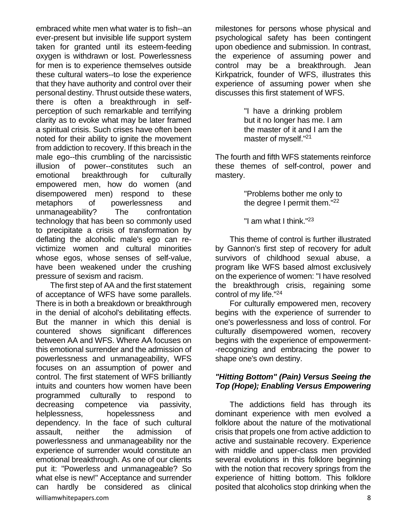embraced white men what water is to fish--an ever-present but invisible life support system taken for granted until its esteem-feeding oxygen is withdrawn or lost. Powerlessness for men is to experience themselves outside these cultural waters--to lose the experience that they have authority and control over their personal destiny. Thrust outside these waters, there is often a breakthrough in selfperception of such remarkable and terrifying clarity as to evoke what may be later framed a spiritual crisis. Such crises have often been noted for their ability to ignite the movement from addiction to recovery. If this breach in the male ego--this crumbling of the narcissistic illusion of power--constitutes such an emotional breakthrough for culturally empowered men, how do women (and disempowered men) respond to these metaphors of powerlessness and unmanageability? The confrontation technology that has been so commonly used to precipitate a crisis of transformation by deflating the alcoholic male's ego can revictimize women and cultural minorities whose egos, whose senses of self-value, have been weakened under the crushing pressure of sexism and racism.

williamwhitepapers.com 8 The first step of AA and the first statement of acceptance of WFS have some parallels. There is in both a breakdown or breakthrough in the denial of alcohol's debilitating effects. But the manner in which this denial is countered shows significant differences between AA and WFS. Where AA focuses on this emotional surrender and the admission of powerlessness and unmanageability, WFS focuses on an assumption of power and control. The first statement of WFS brilliantly intuits and counters how women have been programmed culturally to respond to decreasing competence via passivity, helplessness, hopelessness and dependency. In the face of such cultural assault, neither the admission of powerlessness and unmanageability nor the experience of surrender would constitute an emotional breakthrough. As one of our clients put it: "Powerless and unmanageable? So what else is new!" Acceptance and surrender can hardly be considered as clinical

milestones for persons whose physical and psychological safety has been contingent upon obedience and submission. In contrast, the experience of assuming power and control may be a breakthrough. Jean Kirkpatrick, founder of WFS, illustrates this experience of assuming power when she discusses this first statement of WFS.

> "I have a drinking problem but it no longer has me. I am the master of it and I am the master of myself."<sup>21</sup>

The fourth and fifth WFS statements reinforce these themes of self-control, power and mastery.

> "Problems bother me only to the degree I permit them."<sup>22</sup>

"I am what I think."<sup>23</sup>

This theme of control is further illustrated by Gannon's first step of recovery for adult survivors of childhood sexual abuse, a program like WFS based almost exclusively on the experience of women: "I have resolved the breakthrough crisis, regaining some control of my life."<sup>24</sup>

For culturally empowered men, recovery begins with the experience of surrender to one's powerlessness and loss of control. For culturally disempowered women, recovery begins with the experience of empowerment- -recognizing and embracing the power to shape one's own destiny.

## *"Hitting Bottom" (Pain) Versus Seeing the Top (Hope); Enabling Versus Empowering*

The addictions field has through its dominant experience with men evolved a folklore about the nature of the motivational crisis that propels one from active addiction to active and sustainable recovery. Experience with middle and upper-class men provided several evolutions in this folklore beginning with the notion that recovery springs from the experience of hitting bottom. This folklore posited that alcoholics stop drinking when the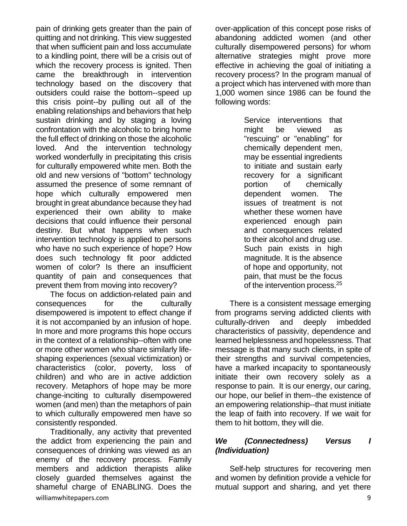pain of drinking gets greater than the pain of quitting and not drinking. This view suggested that when sufficient pain and loss accumulate to a kindling point, there will be a crisis out of which the recovery process is ignited. Then came the breakthrough in intervention technology based on the discovery that outsiders could raise the bottom--speed up this crisis point--by pulling out all of the enabling relationships and behaviors that help sustain drinking and by staging a loving confrontation with the alcoholic to bring home the full effect of drinking on those the alcoholic loved. And the intervention technology worked wonderfully in precipitating this crisis for culturally empowered white men. Both the old and new versions of "bottom" technology assumed the presence of some remnant of hope which culturally empowered men brought in great abundance because they had experienced their own ability to make decisions that could influence their personal destiny. But what happens when such intervention technology is applied to persons who have no such experience of hope? How does such technology fit poor addicted women of color? Is there an insufficient quantity of pain and consequences that prevent them from moving into recovery?

The focus on addiction-related pain and consequences for the culturally disempowered is impotent to effect change if it is not accompanied by an infusion of hope. In more and more programs this hope occurs in the context of a relationship--often with one or more other women who share similarly lifeshaping experiences (sexual victimization) or characteristics (color, poverty, loss of children) and who are in active addiction recovery. Metaphors of hope may be more change-inciting to culturally disempowered women (and men) than the metaphors of pain to which culturally empowered men have so consistently responded.

williamwhitepapers.com 9 Traditionally, any activity that prevented the addict from experiencing the pain and consequences of drinking was viewed as an enemy of the recovery process. Family members and addiction therapists alike closely guarded themselves against the shameful charge of ENABLING. Does the

over-application of this concept pose risks of abandoning addicted women (and other culturally disempowered persons) for whom alternative strategies might prove more effective in achieving the goal of initiating a recovery process? In the program manual of a project which has intervened with more than 1,000 women since 1986 can be found the following words:

> Service interventions that might be viewed as "rescuing" or "enabling" for chemically dependent men, may be essential ingredients to initiate and sustain early recovery for a significant portion of chemically dependent women. The issues of treatment is not whether these women have experienced enough pain and consequences related to their alcohol and drug use. Such pain exists in high magnitude. It is the absence of hope and opportunity, not pain, that must be the focus of the intervention process.<sup>25</sup>

There is a consistent message emerging from programs serving addicted clients with culturally-driven and deeply imbedded characteristics of passivity, dependence and learned helplessness and hopelessness. That message is that many such clients, in spite of their strengths and survival competencies, have a marked incapacity to spontaneously initiate their own recovery solely as a response to pain. It is our energy, our caring, our hope, our belief in them--the existence of an empowering relationship--that must initiate the leap of faith into recovery. If we wait for them to hit bottom, they will die.

## *We (Connectedness) Versus I (Individuation)*

Self-help structures for recovering men and women by definition provide a vehicle for mutual support and sharing, and yet there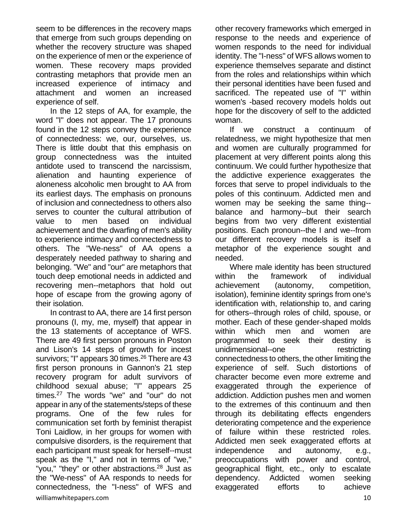seem to be differences in the recovery maps that emerge from such groups depending on whether the recovery structure was shaped on the experience of men or the experience of women. These recovery maps provided contrasting metaphors that provide men an increased experience of intimacy and attachment and women an increased experience of self.

In the 12 steps of AA, for example, the word "I" does not appear. The 17 pronouns found in the 12 steps convey the experience of connectedness: we, our, ourselves, us. There is little doubt that this emphasis on group connectedness was the intuited antidote used to transcend the narcissism, alienation and haunting experience of aloneness alcoholic men brought to AA from its earliest days. The emphasis on pronouns of inclusion and connectedness to others also serves to counter the cultural attribution of value to men based on individual achievement and the dwarfing of men's ability to experience intimacy and connectedness to others. The "We-ness" of AA opens a desperately needed pathway to sharing and belonging. "We" and "our" are metaphors that touch deep emotional needs in addicted and recovering men--metaphors that hold out hope of escape from the growing agony of their isolation.

williamwhitepapers.com and the community of the community of the community of the community of the community of  $10$ In contrast to AA, there are 14 first person pronouns (I, my, me, myself) that appear in the 13 statements of acceptance of WFS. There are 49 first person pronouns in Poston and Lison's 14 steps of growth for incest survivors; "I" appears 30 times.<sup>26</sup> There are 43 first person pronouns in Gannon's 21 step recovery program for adult survivors of childhood sexual abuse; "I" appears 25 times.<sup>27</sup> The words "we" and "our" do not appear in any of the statements/steps of these programs. One of the few rules for communication set forth by feminist therapist Toni Laidlow, in her groups for women with compulsive disorders, is the requirement that each participant must speak for herself--must speak as the "I," and not in terms of "we," "you," "they" or other abstractions.<sup>28</sup> Just as the "We-ness" of AA responds to needs for connectedness, the "I-ness" of WFS and

other recovery frameworks which emerged in response to the needs and experience of women responds to the need for individual identity. The "I-ness" of WFS allows women to experience themselves separate and distinct from the roles and relationships within which their personal identities have been fused and sacrificed. The repeated use of "I" within women's -based recovery models holds out hope for the discovery of self to the addicted woman.

If we construct a continuum of relatedness, we might hypothesize that men and women are culturally programmed for placement at very different points along this continuum. We could further hypothesize that the addictive experience exaggerates the forces that serve to propel individuals to the poles of this continuum. Addicted men and women may be seeking the same thing- balance and harmony--but their search begins from two very different existential positions. Each pronoun--the I and we--from our different recovery models is itself a metaphor of the experience sought and needed.

Where male identity has been structured within the framework of individual achievement (autonomy, competition, isolation), feminine identity springs from one's identification with, relationship to, and caring for others--through roles of child, spouse, or mother. Each of these gender-shaped molds within which men and women are programmed to seek their destiny is unidimensional--one restricting connectedness to others, the other limiting the experience of self. Such distortions of character become even more extreme and exaggerated through the experience of addiction. Addiction pushes men and women to the extremes of this continuum and then through its debilitating effects engenders deteriorating competence and the experience of failure within these restricted roles. Addicted men seek exaggerated efforts at independence and autonomy, e.g., preoccupations with power and control, geographical flight, etc., only to escalate dependency. Addicted women seeking exaggerated efforts to achieve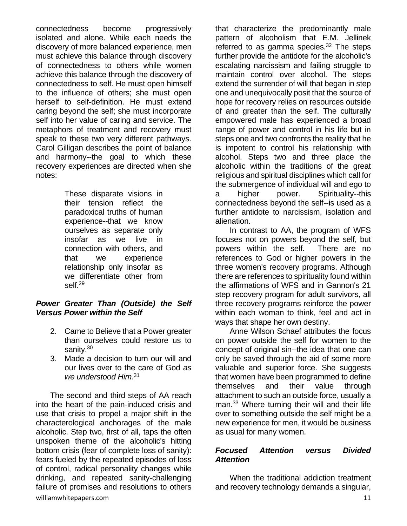connectedness become progressively isolated and alone. While each needs the discovery of more balanced experience, men must achieve this balance through discovery of connectedness to others while women achieve this balance through the discovery of connectedness to self. He must open himself to the influence of others; she must open herself to self-definition. He must extend caring beyond the self; she must incorporate self into her value of caring and service. The metaphors of treatment and recovery must speak to these two very different pathways. Carol Gilligan describes the point of balance and harmony--the goal to which these recovery experiences are directed when she notes:

> These disparate visions in their tension reflect the paradoxical truths of human experience--that we know ourselves as separate only insofar as we live in connection with others, and that we experience relationship only insofar as we differentiate other from self.<sup>29</sup>

#### *Power Greater Than (Outside) the Self Versus Power within the Self*

- 2. Came to Believe that a Power greater than ourselves could restore us to sanity.<sup>30</sup>
- 3. Made a decision to turn our will and our lives over to the care of God *as we understood Him*. 31

williamwhitepapers.com and the community of the community of the community of the community of the community of  $11$ The second and third steps of AA reach into the heart of the pain-induced crisis and use that crisis to propel a major shift in the characterological anchorages of the male alcoholic. Step two, first of all, taps the often unspoken theme of the alcoholic's hitting bottom crisis (fear of complete loss of sanity): fears fueled by the repeated episodes of loss of control, radical personality changes while drinking, and repeated sanity-challenging failure of promises and resolutions to others

that characterize the predominantly male pattern of alcoholism that E.M. Jellinek referred to as gamma species. $32$  The steps further provide the antidote for the alcoholic's escalating narcissism and failing struggle to maintain control over alcohol. The steps extend the surrender of will that began in step one and unequivocally posit that the source of hope for recovery relies on resources outside of and greater than the self. The culturally empowered male has experienced a broad range of power and control in his life but in steps one and two confronts the reality that he is impotent to control his relationship with alcohol. Steps two and three place the alcoholic within the traditions of the great religious and spiritual disciplines which call for the submergence of individual will and ego to a higher power. Spirituality--this connectedness beyond the self--is used as a further antidote to narcissism, isolation and alienation.

In contrast to AA, the program of WFS focuses not on powers beyond the self, but powers within the self. There are no references to God or higher powers in the three women's recovery programs. Although there are references to spirituality found within the affirmations of WFS and in Gannon's 21 step recovery program for adult survivors, all three recovery programs reinforce the power within each woman to think, feel and act in ways that shape her own destiny.

Anne Wilson Schaef attributes the focus on power outside the self for women to the concept of original sin--the idea that one can only be saved through the aid of some more valuable and superior force. She suggests that women have been programmed to define themselves and their value through attachment to such an outside force, usually a man.<sup>33</sup> Where turning their will and their life over to something outside the self might be a new experience for men, it would be business as usual for many women.

#### *Focused Attention versus Divided Attention*

When the traditional addiction treatment and recovery technology demands a singular,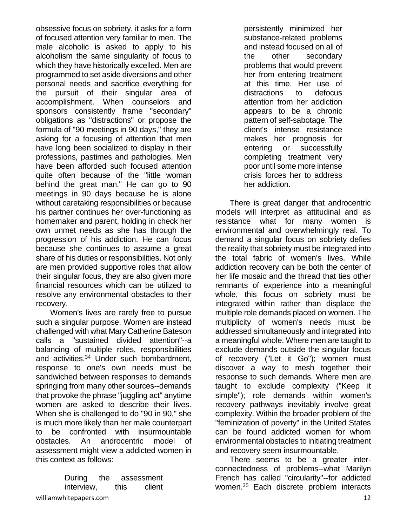obsessive focus on sobriety, it asks for a form of focused attention very familiar to men. The male alcoholic is asked to apply to his alcoholism the same singularity of focus to which they have historically excelled. Men are programmed to set aside diversions and other personal needs and sacrifice everything for the pursuit of their singular area of accomplishment. When counselors and sponsors consistently frame "secondary" obligations as "distractions" or propose the formula of "90 meetings in 90 days," they are asking for a focusing of attention that men have long been socialized to display in their professions, pastimes and pathologies. Men have been afforded such focused attention quite often because of the "little woman behind the great man." He can go to 90 meetings in 90 days because he is alone without caretaking responsibilities or because his partner continues her over-functioning as homemaker and parent, holding in check her own unmet needs as she has through the progression of his addiction. He can focus because she continues to assume a great share of his duties or responsibilities. Not only are men provided supportive roles that allow their singular focus, they are also given more financial resources which can be utilized to resolve any environmental obstacles to their recovery.

Women's lives are rarely free to pursue such a singular purpose. Women are instead challenged with what Mary Catherine Bateson calls a "sustained divided attention"--a balancing of multiple roles, responsibilities and activities.<sup>34</sup> Under such bombardment, response to one's own needs must be sandwiched between responses to demands springing from many other sources--demands that provoke the phrase "juggling act" anytime women are asked to describe their lives. When she is challenged to do "90 in 90," she is much more likely than her male counterpart to be confronted with insurmountable obstacles. An androcentric model of assessment might view a addicted women in this context as follows:

> During the assessment interview, this client

persistently minimized her substance-related problems and instead focused on all of the other secondary problems that would prevent her from entering treatment at this time. Her use of distractions to defocus attention from her addiction appears to be a chronic pattern of self-sabotage. The client's intense resistance makes her prognosis for entering or successfully completing treatment very poor until some more intense crisis forces her to address her addiction.

There is great danger that androcentric models will interpret as attitudinal and as resistance what for many women is environmental and overwhelmingly real. To demand a singular focus on sobriety defies the reality that sobriety must be integrated into the total fabric of women's lives. While addiction recovery can be both the center of her life mosaic and the thread that ties other remnants of experience into a meaningful whole, this focus on sobriety must be integrated within rather than displace the multiple role demands placed on women. The multiplicity of women's needs must be addressed simultaneously and integrated into a meaningful whole. Where men are taught to exclude demands outside the singular focus of recovery ("Let it Go"); women must discover a way to mesh together their response to such demands. Where men are taught to exclude complexity ("Keep it simple"); role demands within women's recovery pathways inevitably involve great complexity. Within the broader problem of the "feminization of poverty" in the United States can be found addicted women for whom environmental obstacles to initiating treatment and recovery seem insurmountable.

There seems to be a greater interconnectedness of problems--what Marilyn French has called "circularity"--for addicted women.<sup>35</sup> Each discrete problem interacts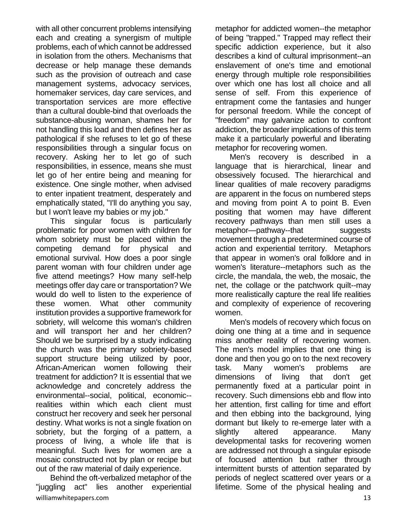with all other concurrent problems intensifying each and creating a synergism of multiple problems, each of which cannot be addressed in isolation from the others. Mechanisms that decrease or help manage these demands such as the provision of outreach and case management systems, advocacy services, homemaker services, day care services, and transportation services are more effective than a cultural double-bind that overloads the substance-abusing woman, shames her for not handling this load and then defines her as pathological if she refuses to let go of these responsibilities through a singular focus on recovery. Asking her to let go of such responsibilities, in essence, means she must let go of her entire being and meaning for existence. One single mother, when advised to enter inpatient treatment, desperately and emphatically stated, "I'll do anything you say, but I won't leave my babies or my job."

This singular focus is particularly problematic for poor women with children for whom sobriety must be placed within the competing demand for physical and emotional survival. How does a poor single parent woman with four children under age five attend meetings? How many self-help meetings offer day care or transportation? We would do well to listen to the experience of these women. What other community institution provides a supportive framework for sobriety, will welcome this woman's children and will transport her and her children? Should we be surprised by a study indicating the church was the primary sobriety-based support structure being utilized by poor, African-American women following their treatment for addiction? It is essential that we acknowledge and concretely address the environmental--social, political, economic- realities within which each client must construct her recovery and seek her personal destiny. What works is not a single fixation on sobriety, but the forging of a pattern, a process of living, a whole life that is meaningful. Such lives for women are a mosaic constructed not by plan or recipe but out of the raw material of daily experience.

williamwhitepapers.com 13 Behind the oft-verbalized metaphor of the "juggling act" lies another experiential

metaphor for addicted women--the metaphor of being "trapped." Trapped may reflect their specific addiction experience, but it also describes a kind of cultural imprisonment--an enslavement of one's time and emotional energy through multiple role responsibilities over which one has lost all choice and all sense of self. From this experience of entrapment come the fantasies and hunger for personal freedom. While the concept of "freedom" may galvanize action to confront addiction, the broader implications of this term make it a particularly powerful and liberating metaphor for recovering women.

Men's recovery is described in a language that is hierarchical, linear and obsessively focused. The hierarchical and linear qualities of male recovery paradigms are apparent in the focus on numbered steps and moving from point A to point B. Even positing that women may have different recovery pathways than men still uses a metaphor—pathway--that suggests movement through a predetermined course of action and experiential territory. Metaphors that appear in women's oral folklore and in women's literature--metaphors such as the circle, the mandala, the web, the mosaic, the net, the collage or the patchwork quilt--may more realistically capture the real life realities and complexity of experience of recovering women.

Men's models of recovery which focus on doing one thing at a time and in sequence miss another reality of recovering women. The men's model implies that one thing is done and then you go on to the next recovery task. Many women's problems are dimensions of living that don't get permanently fixed at a particular point in recovery. Such dimensions ebb and flow into her attention, first calling for time and effort and then ebbing into the background, lying dormant but likely to re-emerge later with a slightly altered appearance. Many developmental tasks for recovering women are addressed not through a singular episode of focused attention but rather through intermittent bursts of attention separated by periods of neglect scattered over years or a lifetime. Some of the physical healing and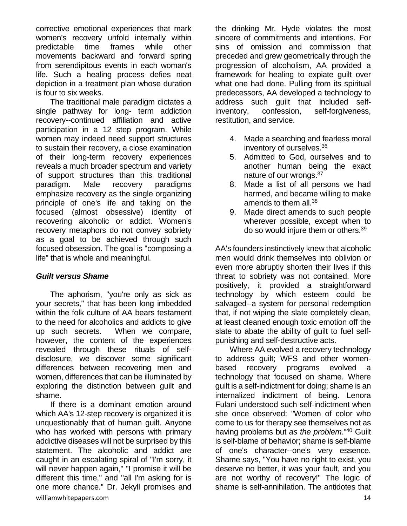corrective emotional experiences that mark women's recovery unfold internally within predictable time frames while other movements backward and forward spring from serendipitous events in each woman's life. Such a healing process defies neat depiction in a treatment plan whose duration is four to six weeks.

The traditional male paradigm dictates a single pathway for long- term addiction recovery--continued affiliation and active participation in a 12 step program. While women may indeed need support structures to sustain their recovery, a close examination of their long-term recovery experiences reveals a much broader spectrum and variety of support structures than this traditional paradigm. Male recovery paradigms emphasize recovery as the single organizing principle of one's life and taking on the focused (almost obsessive) identity of recovering alcoholic or addict. Women's recovery metaphors do not convey sobriety as a goal to be achieved through such focused obsession. The goal is "composing a life" that is whole and meaningful.

#### *Guilt versus Shame*

The aphorism, "you're only as sick as your secrets," that has been long imbedded within the folk culture of AA bears testament to the need for alcoholics and addicts to give up such secrets. When we compare, however, the content of the experiences revealed through these rituals of selfdisclosure, we discover some significant differences between recovering men and women, differences that can be illuminated by exploring the distinction between guilt and shame.

williamwhitepapers.com and the community of the community of the community of the community of the community of  $14$ If there is a dominant emotion around which AA's 12-step recovery is organized it is unquestionably that of human guilt. Anyone who has worked with persons with primary addictive diseases will not be surprised by this statement. The alcoholic and addict are caught in an escalating spiral of "I'm sorry, it will never happen again," "I promise it will be different this time," and "all I'm asking for is one more chance." Dr. Jekyll promises and

the drinking Mr. Hyde violates the most sincere of commitments and intentions. For sins of omission and commission that preceded and grew geometrically through the progression of alcoholism, AA provided a framework for healing to expiate guilt over what one had done. Pulling from its spiritual predecessors, AA developed a technology to address such guilt that included selfinventory, confession, self-forgiveness, restitution, and service.

- 4. Made a searching and fearless moral inventory of ourselves.<sup>36</sup>
- 5. Admitted to God, ourselves and to another human being the exact nature of our wrongs.<sup>37</sup>
- 8. Made a list of all persons we had harmed, and became willing to make amends to them all.<sup>38</sup>
- 9. Made direct amends to such people wherever possible, except when to do so would injure them or others.<sup>39</sup>

AA's founders instinctively knew that alcoholic men would drink themselves into oblivion or even more abruptly shorten their lives if this threat to sobriety was not contained. More positively, it provided a straightforward technology by which esteem could be salvaged--a system for personal redemption that, if not wiping the slate completely clean, at least cleaned enough toxic emotion off the slate to abate the ability of guilt to fuel selfpunishing and self-destructive acts.

Where AA evolved a recovery technology to address guilt; WFS and other womenbased recovery programs evolved a technology that focused on shame. Where guilt is a self-indictment for doing; shame is an internalized indictment of being. Lenora Fulani understood such self-indictment when she once observed: "Women of color who come to us for therapy see themselves not as having problems but *as the problem*."<sup>40</sup> Guilt is self-blame of behavior; shame is self-blame of one's character--one's very essence. Shame says, "You have no right to exist, you deserve no better, it was your fault, and you are not worthy of recovery!" The logic of shame is self-annihilation. The antidotes that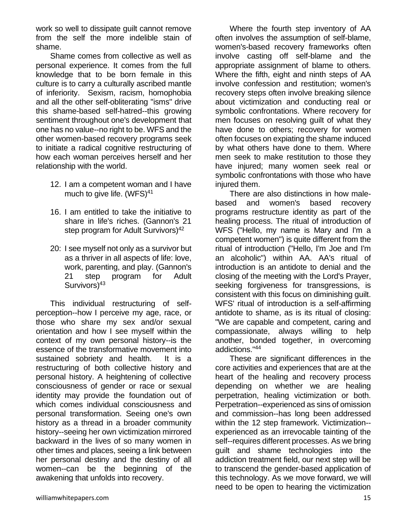work so well to dissipate guilt cannot remove from the self the more indelible stain of shame.

Shame comes from collective as well as personal experience. It comes from the full knowledge that to be born female in this culture is to carry a culturally ascribed mantle of inferiority. Sexism, racism, homophobia and all the other self-obliterating "isms" drive this shame-based self-hatred--this growing sentiment throughout one's development that one has no value--no right to be. WFS and the other women-based recovery programs seek to initiate a radical cognitive restructuring of how each woman perceives herself and her relationship with the world.

- 12. I am a competent woman and I have much to give life. (WFS)<sup>41</sup>
- 16. I am entitled to take the initiative to share in life's riches. (Gannon's 21 step program for Adult Survivors)<sup>42</sup>
- 20: I see myself not only as a survivor but as a thriver in all aspects of life: love, work, parenting, and play. (Gannon's 21 step program for Adult Survivors<sup>)43</sup>

This individual restructuring of selfperception--how I perceive my age, race, or those who share my sex and/or sexual orientation and how I see myself within the context of my own personal history--is the essence of the transformative movement into sustained sobriety and health. It is a restructuring of both collective history and personal history. A heightening of collective consciousness of gender or race or sexual identity may provide the foundation out of which comes individual consciousness and personal transformation. Seeing one's own history as a thread in a broader community history--seeing her own victimization mirrored backward in the lives of so many women in other times and places, seeing a link between her personal destiny and the destiny of all women--can be the beginning of the awakening that unfolds into recovery.

Where the fourth step inventory of AA often involves the assumption of self-blame, women's-based recovery frameworks often involve casting off self-blame and the appropriate assignment of blame to others. Where the fifth, eight and ninth steps of AA involve confession and restitution; women's recovery steps often involve breaking silence about victimization and conducting real or symbolic confrontations. Where recovery for men focuses on resolving guilt of what they have done to others; recovery for women often focuses on expiating the shame induced by what others have done to them. Where men seek to make restitution to those they have injured; many women seek real or symbolic confrontations with those who have injured them.

There are also distinctions in how malebased and women's based recovery programs restructure identity as part of the healing process. The ritual of introduction of WFS ("Hello, my name is Mary and I'm a competent women") is quite different from the ritual of introduction ("Hello, I'm Joe and I'm an alcoholic") within AA. AA's ritual of introduction is an antidote to denial and the closing of the meeting with the Lord's Prayer, seeking forgiveness for transgressions, is consistent with this focus on diminishing guilt. WFS' ritual of introduction is a self-affirming antidote to shame, as is its ritual of closing: "We are capable and competent, caring and compassionate, always willing to help another, bonded together, in overcoming addictions."<sup>44</sup>

These are significant differences in the core activities and experiences that are at the heart of the healing and recovery process depending on whether we are healing perpetration, healing victimization or both. Perpetration--experienced as sins of omission and commission--has long been addressed within the 12 step framework. Victimization- experienced as an irrevocable tainting of the self--requires different processes. As we bring guilt and shame technologies into the addiction treatment field, our next step will be to transcend the gender-based application of this technology. As we move forward, we will need to be open to hearing the victimization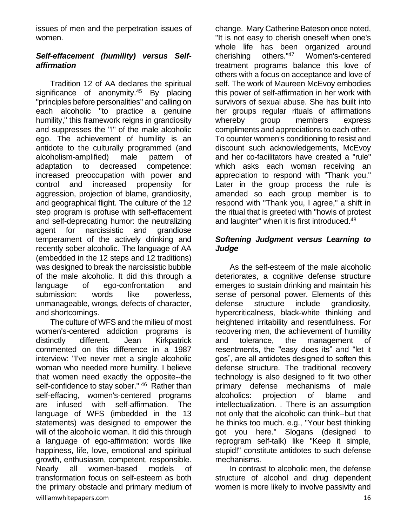issues of men and the perpetration issues of women.

## *Self-effacement (humility) versus Selfaffirmation*

Tradition 12 of AA declares the spiritual significance of anonymity.<sup>45</sup> By placing "principles before personalities" and calling on each alcoholic "to practice a genuine humility," this framework reigns in grandiosity and suppresses the "I" of the male alcoholic ego. The achievement of humility is an antidote to the culturally programmed (and alcoholism-amplified) male pattern of adaptation to decreased competence: increased preoccupation with power and control and increased propensity for aggression, projection of blame, grandiosity, and geographical flight. The culture of the 12 step program is profuse with self-effacement and self-deprecating humor: the neutralizing agent for narcissistic and grandiose temperament of the actively drinking and recently sober alcoholic. The language of AA (embedded in the 12 steps and 12 traditions) was designed to break the narcissistic bubble of the male alcoholic. It did this through a language of ego-confrontation and submission: words like powerless, unmanageable, wrongs, defects of character, and shortcomings.

williamwhitepapers.com and the community of the community of the community of the community of the community of the community of the community of the community of the community of the community of the community of the comm The culture of WFS and the milieu of most women's-centered addiction programs is distinctly different. Jean Kirkpatrick commented on this difference in a 1987 interview: "I've never met a single alcoholic woman who needed more humility. I believe that women need exactly the opposite--the self-confidence to stay sober." <sup>46</sup> Rather than self-effacing, women's-centered programs are infused with self-affirmation. The language of WFS (imbedded in the 13 statements) was designed to empower the will of the alcoholic woman. It did this through a language of ego-affirmation: words like happiness, life, love, emotional and spiritual growth, enthusiasm, competent, responsible. Nearly all women-based models transformation focus on self-esteem as both the primary obstacle and primary medium of

change. Mary Catherine Bateson once noted, "It is not easy to cherish oneself when one's whole life has been organized around cherishing others."<sup>47</sup> Women's-centered treatment programs balance this love of others with a focus on acceptance and love of self. The work of Maureen McEvoy embodies this power of self-affirmation in her work with survivors of sexual abuse. She has built into her groups regular rituals of affirmations whereby group members express compliments and appreciations to each other. To counter women's conditioning to resist and discount such acknowledgements, McEvoy and her co-facilitators have created a "rule" which asks each woman receiving an appreciation to respond with "Thank you." Later in the group process the rule is amended so each group member is to respond with "Thank you, I agree," a shift in the ritual that is greeted with "howls of protest and laughter" when it is first introduced.<sup>48</sup>

## *Softening Judgment versus Learning to Judge*

As the self-esteem of the male alcoholic deteriorates, a cognitive defense structure emerges to sustain drinking and maintain his sense of personal power. Elements of this defense structure include grandiosity, hypercriticalness, black-white thinking and heightened irritability and resentfulness. For recovering men, the achievement of humility and tolerance, the management of resentments, the "easy does its" and "let it gos", are all antidotes designed to soften this defense structure. The traditional recovery technology is also designed to fit two other primary defense mechanisms of male alcoholics: projection of blame and intellectualization. . There is an assumption not only that the alcoholic can think--but that he thinks too much. e.g., "Your best thinking got you here." Slogans (designed to reprogram self-talk) like "Keep it simple, stupid!" constitute antidotes to such defense mechanisms.

In contrast to alcoholic men, the defense structure of alcohol and drug dependent women is more likely to involve passivity and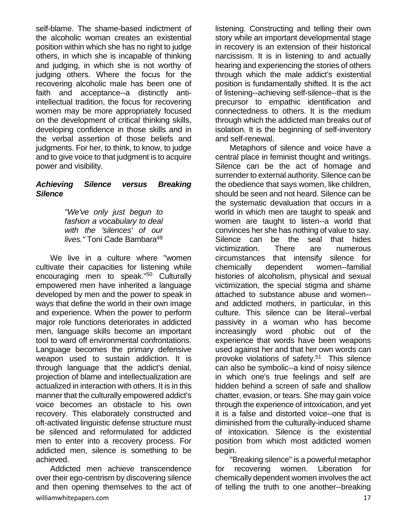self-blame. The shame-based indictment of the alcoholic woman creates an existential position within which she has no right to judge others, in which she is incapable of thinking and judging, in which she is not worthy of judging others. Where the focus for the recovering alcoholic male has been one of faith and acceptance--a distinctly antiintellectual tradition, the focus for recovering women may be more appropriately focused on the development of critical thinking skills, developing confidence in those skills and in the verbal assertion of those beliefs and judgments. For her, to think, to know, to judge and to give voice to that judgment is to acquire power and visibility.

#### *Achieving Silence versus Breaking Silence*

*"We've only just begun to fashion a vocabulary to deal with the 'silences' of our lives."* Toni Cade Bambara<sup>49</sup>

We live in a culture where "women cultivate their capacities for listening while encouraging men to speak."<sup>50</sup> Culturally empowered men have inherited a language developed by men and the power to speak in ways that define the world in their own image and experience. When the power to perform major role functions deteriorates in addicted men, language skills become an important tool to ward off environmental confrontations. Language becomes the primary defensive weapon used to sustain addiction. It is through language that the addict's denial, projection of blame and intellectualization are actualized in interaction with others. It is in this manner that the culturally empowered addict's voice becomes an obstacle to his own recovery. This elaborately constructed and oft-activated linguistic defense structure must be silenced and reformulated for addicted men to enter into a recovery process. For addicted men, silence is something to be achieved.

williamwhitepapers.com and the community of the community of the community of the community of the community of  $17$ Addicted men achieve transcendence over their ego-centrism by discovering silence and then opening themselves to the act of

listening. Constructing and telling their own story while an important developmental stage in recovery is an extension of their historical narcissism. It is in listening to and actually hearing and experiencing the stories of others through which the male addict's existential position is fundamentally shifted. It is the act of listening--achieving self-silence--that is the precursor to empathic identification and connectedness to others. It is the medium through which the addicted man breaks out of isolation. It is the beginning of self-inventory and self-renewal.

Metaphors of silence and voice have a central place in feminist thought and writings. Silence can be the act of homage and surrender to external authority. Silence can be the obedience that says women, like children, should be seen and not heard. Silence can be the systematic devaluation that occurs in a world in which men are taught to speak and women are taught to listen--a world that convinces her she has nothing of value to say. Silence can be the seal that hides victimization. There are numerous circumstances that intensify silence for chemically dependent women--familial histories of alcoholism, physical and sexual victimization, the special stigma and shame attached to substance abuse and women- and addicted mothers, in particular, in this culture. This silence can be literal--verbal passivity in a woman who has become increasingly word phobic out of the experience that words have been weapons used against her and that her own words can provoke violations of safety.<sup>51</sup> This silence can also be symbolic--a kind of noisy silence in which one's true feelings and self are hidden behind a screen of safe and shallow chatter, evasion, or tears. She may gain voice through the experience of intoxication, and yet it is a false and distorted voice--one that is diminished from the culturally-induced shame of intoxication. Silence is the existential position from which most addicted women begin.

"Breaking silence" is a powerful metaphor for recovering women. Liberation for chemically dependent women involves the act of telling the truth to one another--breaking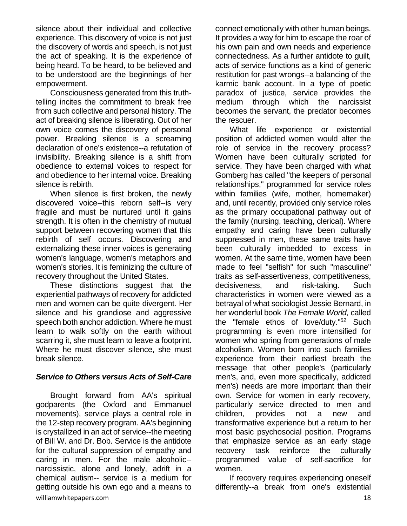silence about their individual and collective experience. This discovery of voice is not just the discovery of words and speech, is not just the act of speaking. It is the experience of being heard. To be heard, to be believed and to be understood are the beginnings of her empowerment.

Consciousness generated from this truthtelling incites the commitment to break free from such collective and personal history. The act of breaking silence is liberating. Out of her own voice comes the discovery of personal power. Breaking silence is a screaming declaration of one's existence--a refutation of invisibility. Breaking silence is a shift from obedience to external voices to respect for and obedience to her internal voice. Breaking silence is rebirth.

When silence is first broken, the newly discovered voice--this reborn self--is very fragile and must be nurtured until it gains strength. It is often in the chemistry of mutual support between recovering women that this rebirth of self occurs. Discovering and externalizing these inner voices is generating women's language, women's metaphors and women's stories. It is feminizing the culture of recovery throughout the United States.

These distinctions suggest that the experiential pathways of recovery for addicted men and women can be quite divergent. Her silence and his grandiose and aggressive speech both anchor addiction. Where he must learn to walk softly on the earth without scarring it, she must learn to leave a footprint. Where he must discover silence, she must break silence.

#### *Service to Others versus Acts of Self-Care*

williamwhitepapers.com 18 Brought forward from AA's spiritual godparents (the Oxford and Emmanuel movements), service plays a central role in the 12-step recovery program. AA's beginning is crystallized in an act of service--the meeting of Bill W. and Dr. Bob. Service is the antidote for the cultural suppression of empathy and caring in men. For the male alcoholic- narcissistic, alone and lonely, adrift in a chemical autism-- service is a medium for getting outside his own ego and a means to

connect emotionally with other human beings. It provides a way for him to escape the roar of his own pain and own needs and experience connectedness. As a further antidote to guilt, acts of service functions as a kind of generic restitution for past wrongs--a balancing of the karmic bank account. In a type of poetic paradox of justice, service provides the medium through which the narcissist becomes the servant, the predator becomes the rescuer.

What life experience or existential position of addicted women would alter the role of service in the recovery process? Women have been culturally scripted for service. They have been charged with what Gomberg has called "the keepers of personal relationships," programmed for service roles within families (wife, mother, homemaker) and, until recently, provided only service roles as the primary occupational pathway out of the family (nursing, teaching, clerical). Where empathy and caring have been culturally suppressed in men, these same traits have been culturally imbedded to excess in women. At the same time, women have been made to feel "selfish" for such "masculine" traits as self-assertiveness, competitiveness, decisiveness, and risk-taking. Such characteristics in women were viewed as a betrayal of what sociologist Jessie Bernard, in her wonderful book *The Female World,* called the "female ethos of love/duty."<sup>52</sup> Such programming is even more intensified for women who spring from generations of male alcoholism. Women born into such families experience from their earliest breath the message that other people's (particularly men's, and, even more specifically, addicted men's) needs are more important than their own. Service for women in early recovery, particularly service directed to men and children, provides not a new and transformative experience but a return to her most basic psychosocial position. Programs that emphasize service as an early stage recovery task reinforce the culturally programmed value of self-sacrifice for women.

If recovery requires experiencing oneself differently--a break from one's existential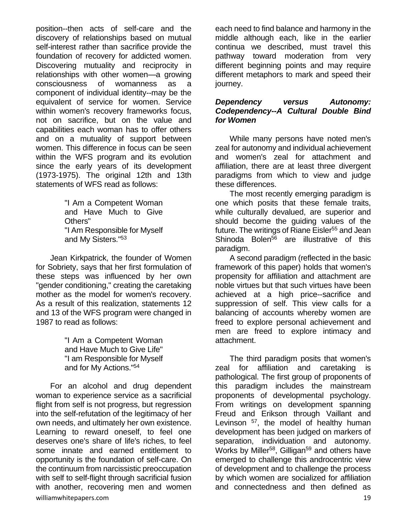position--then acts of self-care and the discovery of relationships based on mutual self-interest rather than sacrifice provide the foundation of recovery for addicted women. Discovering mutuality and reciprocity in relationships with other women—a growing consciousness of womanness as a component of individual identity--may be the equivalent of service for women. Service within women's recovery frameworks focus, not on sacrifice, but on the value and capabilities each woman has to offer others and on a mutuality of support between women. This difference in focus can be seen within the WFS program and its evolution since the early years of its development (1973-1975). The original 12th and 13th statements of WFS read as follows:

> "I Am a Competent Woman and Have Much to Give Others" "I Am Responsible for Myself and My Sisters."<sup>53</sup>

Jean Kirkpatrick, the founder of Women for Sobriety, says that her first formulation of these steps was influenced by her own "gender conditioning," creating the caretaking mother as the model for women's recovery. As a result of this realization, statements 12 and 13 of the WFS program were changed in 1987 to read as follows:

> "I Am a Competent Woman and Have Much to Give Life" "I am Responsible for Myself and for My Actions."<sup>54</sup>

williamwhitepapers.com 19 For an alcohol and drug dependent woman to experience service as a sacrificial flight from self is not progress, but regression into the self-refutation of the legitimacy of her own needs, and ultimately her own existence. Learning to reward oneself, to feel one deserves one's share of life's riches, to feel some innate and earned entitlement to opportunity is the foundation of self-care. On the continuum from narcissistic preoccupation with self to self-flight through sacrificial fusion with another, recovering men and women

each need to find balance and harmony in the middle although each, like in the earlier continua we described, must travel this pathway toward moderation from very different beginning points and may require different metaphors to mark and speed their journey.

#### *Dependency versus Autonomy: Codependency--A Cultural Double Bind for Women*

While many persons have noted men's zeal for autonomy and individual achievement and women's zeal for attachment and affiliation, there are at least three divergent paradigms from which to view and judge these differences.

The most recently emerging paradigm is one which posits that these female traits, while culturally devalued, are superior and should become the guiding values of the future. The writings of Riane Eisler<sup>55</sup> and Jean Shinoda Bolen<sup>56</sup> are illustrative of this paradigm.

A second paradigm (reflected in the basic framework of this paper) holds that women's propensity for affiliation and attachment are noble virtues but that such virtues have been achieved at a high price--sacrifice and suppression of self. This view calls for a balancing of accounts whereby women are freed to explore personal achievement and men are freed to explore intimacy and attachment.

The third paradigm posits that women's zeal for affiliation and caretaking pathological. The first group of proponents of this paradigm includes the mainstream proponents of developmental psychology. From writings on development spanning Freud and Erikson through Vaillant and Levinson  $57$ , the model of healthy human development has been judged on markers of separation, individuation and autonomy. Works by Miller<sup>58</sup>, Gilligan<sup>59</sup> and others have emerged to challenge this androcentric view of development and to challenge the process by which women are socialized for affiliation and connectedness and then defined as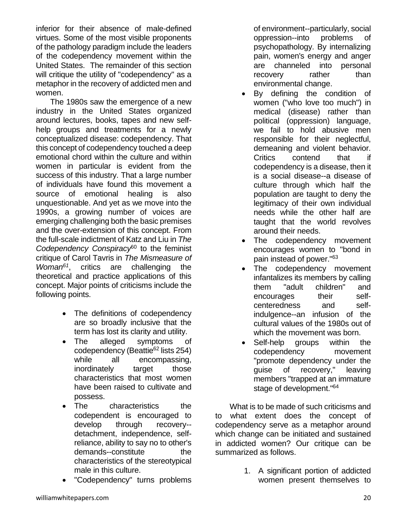inferior for their absence of male-defined virtues. Some of the most visible proponents of the pathology paradigm include the leaders of the codependency movement within the United States. The remainder of this section will critique the utility of "codependency" as a metaphor in the recovery of addicted men and women.

The 1980s saw the emergence of a new industry in the United States organized around lectures, books, tapes and new selfhelp groups and treatments for a newly conceptualized disease: codependency. That this concept of codependency touched a deep emotional chord within the culture and within women in particular is evident from the success of this industry. That a large number of individuals have found this movement a source of emotional healing is also unquestionable. And yet as we move into the 1990s, a growing number of voices are emerging challenging both the basic premises and the over-extension of this concept. From the full-scale indictment of Katz and Liu in *The Codependency Conspiracy*<sup>60</sup> to the feminist critique of Carol Tavris in *The Mismeasure of Woman<sup>61</sup>*, critics are challenging the theoretical and practice applications of this concept. Major points of criticisms include the following points.

- The definitions of codependency are so broadly inclusive that the term has lost its clarity and utility.
- The alleged symptoms of codependency (Beattie<sup>62</sup> lists 254) while all encompassing, inordinately target those characteristics that most women have been raised to cultivate and possess.
- The characteristics the codependent is encouraged to develop through recovery- detachment, independence, selfreliance, ability to say no to other's demands--constitute the characteristics of the stereotypical male in this culture.
- "Codependency" turns problems

of environment--particularly, social oppression--into problems of psychopathology. By internalizing pain, women's energy and anger are channeled into personal recovery rather than environmental change.

- By defining the condition of women ("who love too much") in medical (disease) rather than political (oppression) language, we fail to hold abusive men responsible for their neglectful, demeaning and violent behavior. Critics contend that if codependency is a disease, then it is a social disease--a disease of culture through which half the population are taught to deny the legitimacy of their own individual needs while the other half are taught that the world revolves around their needs.
- The codependency movement encourages women to "bond in pain instead of power."<sup>63</sup>
- The codependency movement infantalizes its members by calling them "adult children" and encourages their selfcenteredness and selfindulgence--an infusion of the cultural values of the 1980s out of which the movement was born.
- Self-help groups within the codependency movement "promote dependency under the guise of recovery," leaving members "trapped at an immature stage of development."<sup>64</sup>

What is to be made of such criticisms and to what extent does the concept of codependency serve as a metaphor around which change can be initiated and sustained in addicted women? Our critique can be summarized as follows.

> 1. A significant portion of addicted women present themselves to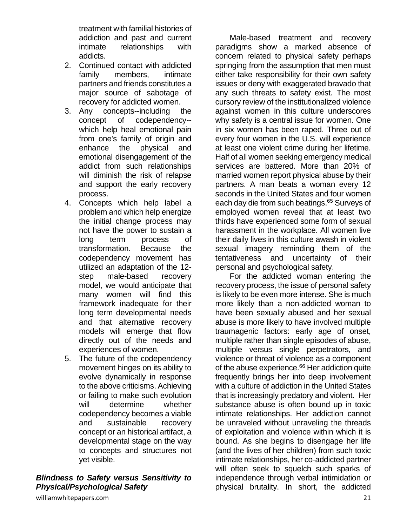treatment with familial histories of addiction and past and current intimate relationships with addicts.

- 2. Continued contact with addicted family members, intimate partners and friends constitutes a major source of sabotage of recovery for addicted women.
- 3. Any concepts--including the concept of codependency- which help heal emotional pain from one's family of origin and enhance the physical and emotional disengagement of the addict from such relationships will diminish the risk of relapse and support the early recovery process.
- 4. Concepts which help label a problem and which help energize the initial change process may not have the power to sustain a long term process of transformation. Because the codependency movement has utilized an adaptation of the 12 step male-based recovery model, we would anticipate that many women will find this framework inadequate for their long term developmental needs and that alternative recovery models will emerge that flow directly out of the needs and experiences of women.
- 5. The future of the codependency movement hinges on its ability to evolve dynamically in response to the above criticisms. Achieving or failing to make such evolution will determine whether codependency becomes a viable and sustainable recovery concept or an historical artifact, a developmental stage on the way to concepts and structures not yet visible.

## *Blindness to Safety versus Sensitivity to Physical/Psychological Safety*

Male-based treatment and recovery paradigms show a marked absence of concern related to physical safety perhaps springing from the assumption that men must either take responsibility for their own safety issues or deny with exaggerated bravado that any such threats to safety exist. The most cursory review of the institutionalized violence against women in this culture underscores why safety is a central issue for women. One in six women has been raped. Three out of every four women in the U.S. will experience at least one violent crime during her lifetime. Half of all women seeking emergency medical services are battered. More than 20% of married women report physical abuse by their partners. A man beats a woman every 12 seconds in the United States and four women each day die from such beatings.<sup>65</sup> Surveys of employed women reveal that at least two thirds have experienced some form of sexual harassment in the workplace. All women live their daily lives in this culture awash in violent sexual imagery reminding them of the tentativeness and uncertainty of their personal and psychological safety.

For the addicted woman entering the recovery process, the issue of personal safety is likely to be even more intense. She is much more likely than a non-addicted woman to have been sexually abused and her sexual abuse is more likely to have involved multiple traumagenic factors: early age of onset, multiple rather than single episodes of abuse, multiple versus single perpetrators, and violence or threat of violence as a component of the abuse experience.<sup>66</sup> Her addiction quite frequently brings her into deep involvement with a culture of addiction in the United States that is increasingly predatory and violent. Her substance abuse is often bound up in toxic intimate relationships. Her addiction cannot be unraveled without unraveling the threads of exploitation and violence within which it is bound. As she begins to disengage her life (and the lives of her children) from such toxic intimate relationships, her co-addicted partner will often seek to squelch such sparks of independence through verbal intimidation or physical brutality. In short, the addicted

williamwhitepapers.com 21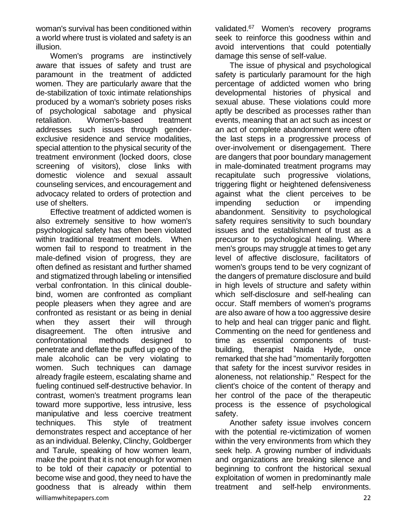woman's survival has been conditioned within a world where trust is violated and safety is an illusion.

Women's programs are instinctively aware that issues of safety and trust are paramount in the treatment of addicted women. They are particularly aware that the de-stabilization of toxic intimate relationships produced by a woman's sobriety poses risks of psychological sabotage and physical retaliation. Women's-based treatment addresses such issues through genderexclusive residence and service modalities, special attention to the physical security of the treatment environment (locked doors, close screening of visitors), close links with domestic violence and sexual assault counseling services, and encouragement and advocacy related to orders of protection and use of shelters.

williamwhitepapers.com 22 Effective treatment of addicted women is also extremely sensitive to how women's psychological safety has often been violated within traditional treatment models. When women fail to respond to treatment in the male-defined vision of progress, they are often defined as resistant and further shamed and stigmatized through labeling or intensified verbal confrontation. In this clinical doublebind, women are confronted as compliant people pleasers when they agree and are confronted as resistant or as being in denial when they assert their will through disagreement. The often intrusive and confrontational methods designed to penetrate and deflate the puffed up ego of the male alcoholic can be very violating to women. Such techniques can damage already fragile esteem, escalating shame and fueling continued self-destructive behavior. In contrast, women's treatment programs lean toward more supportive, less intrusive, less manipulative and less coercive treatment techniques. This style of treatment demonstrates respect and acceptance of her as an individual. Belenky, Clinchy, Goldberger and Tarule, speaking of how women learn, make the point that it is not enough for women to be told of their *capacity* or potential to become wise and good, they need to have the goodness that is already within them

validated.<sup>67</sup> Women's recovery programs seek to reinforce this goodness within and avoid interventions that could potentially damage this sense of self-value.

The issue of physical and psychological safety is particularly paramount for the high percentage of addicted women who bring developmental histories of physical and sexual abuse. These violations could more aptly be described as processes rather than events, meaning that an act such as incest or an act of complete abandonment were often the last steps in a progressive process of over-involvement or disengagement. There are dangers that poor boundary management in male-dominated treatment programs may recapitulate such progressive violations, triggering flight or heightened defensiveness against what the client perceives to be impending seduction or impending abandonment. Sensitivity to psychological safety requires sensitivity to such boundary issues and the establishment of trust as a precursor to psychological healing. Where men's groups may struggle at times to get any level of affective disclosure, facilitators of women's groups tend to be very cognizant of the dangers of premature disclosure and build in high levels of structure and safety within which self-disclosure and self-healing can occur. Staff members of women's programs are also aware of how a too aggressive desire to help and heal can trigger panic and flight. Commenting on the need for gentleness and time as essential components of trustbuilding, therapist Naida Hyde, once remarked that she had "momentarily forgotten that safety for the incest survivor resides in aloneness, not relationship." Respect for the client's choice of the content of therapy and her control of the pace of the therapeutic process is the essence of psychological safety.

Another safety issue involves concern with the potential re-victimization of women within the very environments from which they seek help. A growing number of individuals and organizations are breaking silence and beginning to confront the historical sexual exploitation of women in predominantly male treatment and self-help environments.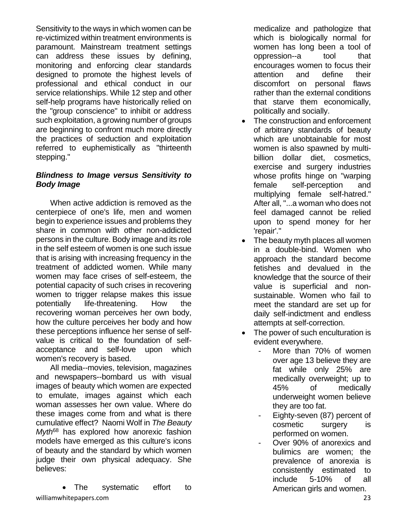Sensitivity to the ways in which women can be re-victimized within treatment environments is paramount. Mainstream treatment settings can address these issues by defining, monitoring and enforcing clear standards designed to promote the highest levels of professional and ethical conduct in our service relationships. While 12 step and other self-help programs have historically relied on the "group conscience" to inhibit or address such exploitation, a growing number of groups are beginning to confront much more directly the practices of seduction and exploitation referred to euphemistically as "thirteenth stepping."

## *Blindness to Image versus Sensitivity to Body Image*

When active addiction is removed as the centerpiece of one's life, men and women begin to experience issues and problems they share in common with other non-addicted persons in the culture. Body image and its role in the self esteem of women is one such issue that is arising with increasing frequency in the treatment of addicted women. While many women may face crises of self-esteem, the potential capacity of such crises in recovering women to trigger relapse makes this issue potentially life-threatening. How the recovering woman perceives her own body, how the culture perceives her body and how these perceptions influence her sense of selfvalue is critical to the foundation of selfacceptance and self-love upon which women's recovery is based.

All media--movies, television, magazines and newspapers--bombard us with visual images of beauty which women are expected to emulate, images against which each woman assesses her own value. Where do these images come from and what is there cumulative effect? Naomi Wolf in *The Beauty Myth*<sup>68</sup> has explored how anorexic fashion models have emerged as this culture's icons of beauty and the standard by which women judge their own physical adequacy. She believes:

williamwhitepapers.com 23 • The systematic effort to

medicalize and pathologize that which is biologically normal for women has long been a tool of oppression--a tool that encourages women to focus their attention and define their discomfort on personal flaws rather than the external conditions that starve them economically, politically and socially.

- The construction and enforcement of arbitrary standards of beauty which are unobtainable for most women is also spawned by multibillion dollar diet, cosmetics, exercise and surgery industries whose profits hinge on "warping female self-perception and multiplying female self-hatred." After all, "...a woman who does not feel damaged cannot be relied upon to spend money for her 'repair'."
- The beauty myth places all women in a double-bind. Women who approach the standard become fetishes and devalued in the knowledge that the source of their value is superficial and nonsustainable. Women who fail to meet the standard are set up for daily self-indictment and endless attempts at self-correction.
- The power of such enculturation is evident everywhere.
	- More than 70% of women over age 13 believe they are fat while only 25% are medically overweight; up to 45% of medically underweight women believe they are too fat.
	- Eighty-seven (87) percent of cosmetic surgery is performed on women.
	- Over 90% of anorexics and bulimics are women; the prevalence of anorexia is consistently estimated to include 5-10% of all American girls and women.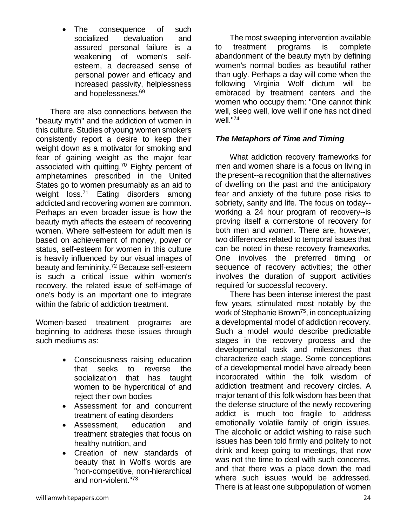The consequence of such socialized devaluation and assured personal failure is a weakening of women's selfesteem, a decreased sense of personal power and efficacy and increased passivity, helplessness and hopelessness.<sup>69</sup>

There are also connections between the "beauty myth" and the addiction of women in this culture. Studies of young women smokers consistently report a desire to keep their weight down as a motivator for smoking and fear of gaining weight as the major fear associated with quitting.<sup>70</sup> Eighty percent of amphetamines prescribed in the United States go to women presumably as an aid to weight loss.<sup>71</sup> Eating disorders among addicted and recovering women are common. Perhaps an even broader issue is how the beauty myth affects the esteem of recovering women. Where self-esteem for adult men is based on achievement of money, power or status, self-esteem for women in this culture is heavily influenced by our visual images of beauty and femininity.<sup>72</sup> Because self-esteem is such a critical issue within women's recovery, the related issue of self-image of one's body is an important one to integrate within the fabric of addiction treatment.

Women-based treatment programs are beginning to address these issues through such mediums as:

- Consciousness raising education that seeks to reverse the socialization that has taught women to be hypercritical of and reject their own bodies
- Assessment for and concurrent treatment of eating disorders
- Assessment, education and treatment strategies that focus on healthy nutrition, and
- Creation of new standards of beauty that in Wolf's words are "non-competitive, non-hierarchical and non-violent."<sup>73</sup>

The most sweeping intervention available to treatment programs is complete abandonment of the beauty myth by defining women's normal bodies as beautiful rather than ugly. Perhaps a day will come when the following Virginia Wolf dictum will be embraced by treatment centers and the women who occupy them: "One cannot think well, sleep well, love well if one has not dined well."<sup>74</sup>

# *The Metaphors of Time and Timing*

What addiction recovery frameworks for men and women share is a focus on living in the present--a recognition that the alternatives of dwelling on the past and the anticipatory fear and anxiety of the future pose risks to sobriety, sanity and life. The focus on today- working a 24 hour program of recovery--is proving itself a cornerstone of recovery for both men and women. There are, however, two differences related to temporal issues that can be noted in these recovery frameworks. One involves the preferred timing or sequence of recovery activities; the other involves the duration of support activities required for successful recovery.

There has been intense interest the past few years, stimulated most notably by the work of Stephanie Brown<sup>75</sup>, in conceptualizing a developmental model of addiction recovery. Such a model would describe predictable stages in the recovery process and the developmental task and milestones that characterize each stage. Some conceptions of a developmental model have already been incorporated within the folk wisdom of addiction treatment and recovery circles. A major tenant of this folk wisdom has been that the defense structure of the newly recovering addict is much too fragile to address emotionally volatile family of origin issues. The alcoholic or addict wishing to raise such issues has been told firmly and politely to not drink and keep going to meetings, that now was not the time to deal with such concerns, and that there was a place down the road where such issues would be addressed. There is at least one subpopulation of women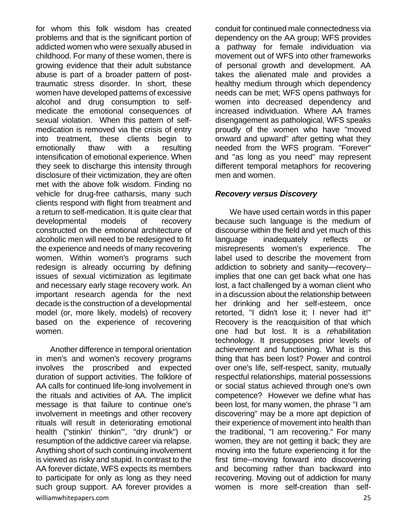for whom this folk wisdom has created problems and that is the significant portion of addicted women who were sexually abused in childhood. For many of these women, there is growing evidence that their adult substance abuse is part of a broader pattern of posttraumatic stress disorder. In short, these women have developed patterns of excessive alcohol and drug consumption to selfmedicate the emotional consequences of sexual violation. When this pattern of selfmedication is removed via the crisis of entry into treatment, these clients begin to emotionally thaw with a resulting intensification of emotional experience. When they seek to discharge this intensity through disclosure of their victimization, they are often met with the above folk wisdom. Finding no vehicle for drug-free catharsis, many such clients respond with flight from treatment and a return to self-medication. It is quite clear that developmental models of recovery constructed on the emotional architecture of alcoholic men will need to be redesigned to fit the experience and needs of many recovering women. Within women's programs such redesign is already occurring by defining issues of sexual victimization as legitimate and necessary early stage recovery work. An important research agenda for the next decade is the construction of a developmental model (or, more likely, models) of recovery based on the experience of recovering women.

williamwhitepapers.com 25 Another difference in temporal orientation in men's and women's recovery programs involves the proscribed and expected duration of support activities. The folklore of AA calls for continued life-long involvement in the rituals and activities of AA. The implicit message is that failure to continue one's involvement in meetings and other recovery rituals will result in deteriorating emotional health ("stinkin' thinkin'", "dry drunk") or resumption of the addictive career via relapse. Anything short of such continuing involvement is viewed as risky and stupid. In contrast to the AA forever dictate, WFS expects its members to participate for only as long as they need such group support. AA forever provides a

conduit for continued male connectedness via dependency on the AA group; WFS provides a pathway for female individuation via movement out of WFS into other frameworks of personal growth and development. AA takes the alienated male and provides a healthy medium through which dependency needs can be met; WFS opens pathways for women into decreased dependency and increased individuation. Where AA frames disengagement as pathological, WFS speaks proudly of the women who have "moved onward and upward" after getting what they needed from the WFS program. "Forever" and "as long as you need" may represent different temporal metaphors for recovering men and women.

#### *Recovery versus Discovery*

We have used certain words in this paper because such language is the medium of discourse within the field and yet much of this language inadequately reflects or misrepresents women's experience. The label used to describe the movement from addiction to sobriety and sanity—recovery- implies that one can get back what one has lost, a fact challenged by a woman client who in a discussion about the relationship between her drinking and her self-esteem, once retorted, "I didn't lose it; I never had it!" Recovery is the reacquisition of that which one had but lost. It is a *re*habilitation technology. It presupposes prior levels of achievement and functioning. What is this thing that has been lost? Power and control over one's life, self-respect, sanity, mutually respectful relationships, material possessions or social status achieved through one's own competence? However we define what has been lost, for many women, the phrase "I am discovering" may be a more apt depiction of their experience of movement into health than the traditional, "I am recovering." For many women, they are not getting it back; they are moving into the future experiencing it for the first time--moving forward into discovering and becoming rather than backward into recovering. Moving out of addiction for many women is more self-creation than self-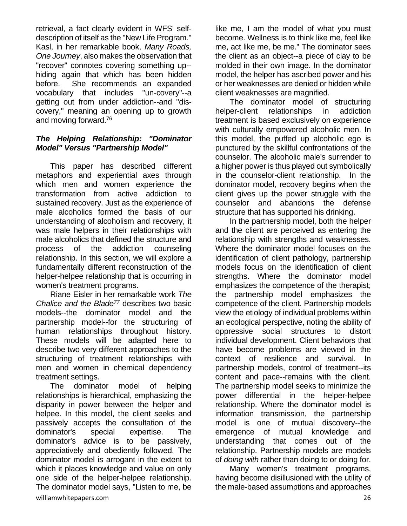retrieval, a fact clearly evident in WFS' selfdescription of itself as the "New Life Program." Kasl, in her remarkable book, *Many Roads, One Journey*, also makes the observation that "recover" connotes covering something up- hiding again that which has been hidden before. She recommends an expanded vocabulary that includes "un-covery"--a getting out from under addiction--and "discovery," meaning an opening up to growth and moving forward.<sup>76</sup>

#### *The Helping Relationship: "Dominator Model" Versus "Partnership Model"*

This paper has described different metaphors and experiential axes through which men and women experience the transformation from active addiction to sustained recovery. Just as the experience of male alcoholics formed the basis of our understanding of alcoholism and recovery, it was male helpers in their relationships with male alcoholics that defined the structure and process of the addiction counseling relationship. In this section, we will explore a fundamentally different reconstruction of the helper-helpee relationship that is occurring in women's treatment programs.

Riane Eisler in her remarkable work *The Chalice and the Blade<sup>77</sup>* describes two basic models--the dominator model and the partnership model--for the structuring of human relationships throughout history. These models will be adapted here to describe two very different approaches to the structuring of treatment relationships with men and women in chemical dependency treatment settings.

williamwhitepapers.com 26 The dominator model of helping relationships is hierarchical, emphasizing the disparity in power between the helper and helpee. In this model, the client seeks and passively accepts the consultation of the dominator's special expertise. The dominator's advice is to be passively, appreciatively and obediently followed. The dominator model is arrogant in the extent to which it places knowledge and value on only one side of the helper-helpee relationship. The dominator model says, "Listen to me, be

like me, I am the model of what you must become. Wellness is to think like me, feel like me, act like me, be me." The dominator sees the client as an object--a piece of clay to be molded in their own image. In the dominator model, the helper has ascribed power and his or her weaknesses are denied or hidden while client weaknesses are magnified.

The dominator model of structuring helper-client relationships in addiction treatment is based exclusively on experience with culturally empowered alcoholic men. In this model, the puffed up alcoholic ego is punctured by the skillful confrontations of the counselor. The alcoholic male's surrender to a higher power is thus played out symbolically in the counselor-client relationship. In the dominator model, recovery begins when the client gives up the power struggle with the counselor and abandons the defense structure that has supported his drinking.

In the partnership model, both the helper and the client are perceived as entering the relationship with strengths and weaknesses. Where the dominator model focuses on the identification of client pathology, partnership models focus on the identification of client strengths. Where the dominator model emphasizes the competence of the therapist; the partnership model emphasizes the competence of the client. Partnership models view the etiology of individual problems within an ecological perspective, noting the ability of oppressive social structures to distort individual development. Client behaviors that have become problems are viewed in the context of resilience and survival. In partnership models, control of treatment--its content and pace--remains with the client. The partnership model seeks to minimize the power differential in the helper-helpee relationship. Where the dominator model is information transmission, the partnership model is one of mutual discovery--the emergence of mutual knowledge and understanding that comes out of the relationship. Partnership models are models of *doing with* rather than doing to or doing for.

Many women's treatment programs, having become disillusioned with the utility of the male-based assumptions and approaches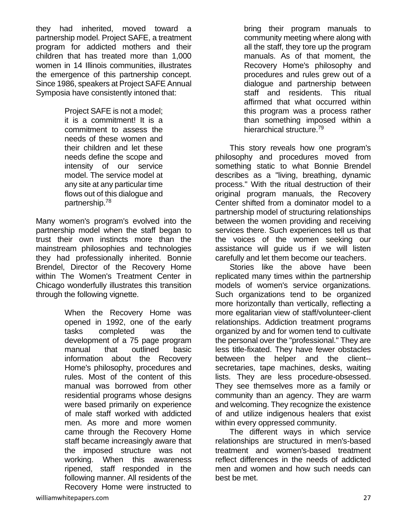they had inherited, moved toward a partnership model. Project SAFE, a treatment program for addicted mothers and their children that has treated more than 1,000 women in 14 Illinois communities, illustrates the emergence of this partnership concept. Since 1986, speakers at Project SAFE Annual Symposia have consistently intoned that:

> Project SAFE is not a model; it is a commitment! It is a commitment to assess the needs of these women and their children and let these needs define the scope and intensity of our service model. The service model at any site at any particular time flows out of this dialogue and partnership.<sup>78</sup>

Many women's program's evolved into the partnership model when the staff began to trust their own instincts more than the mainstream philosophies and technologies they had professionally inherited. Bonnie Brendel, Director of the Recovery Home within The Women's Treatment Center in Chicago wonderfully illustrates this transition through the following vignette.

> When the Recovery Home was opened in 1992, one of the early tasks completed was the development of a 75 page program manual that outlined basic information about the Recovery Home's philosophy, procedures and rules. Most of the content of this manual was borrowed from other residential programs whose designs were based primarily on experience of male staff worked with addicted men. As more and more women came through the Recovery Home staff became increasingly aware that the imposed structure was not working. When this awareness ripened, staff responded in the following manner. All residents of the Recovery Home were instructed to

bring their program manuals to community meeting where along with all the staff, they tore up the program manuals. As of that moment, the Recovery Home's philosophy and procedures and rules grew out of a dialogue and partnership between staff and residents. This ritual affirmed that what occurred within this program was a process rather than something imposed within a hierarchical structure.<sup>79</sup>

This story reveals how one program's philosophy and procedures moved from something static to what Bonnie Brendel describes as a "living, breathing, dynamic process." With the ritual destruction of their original program manuals, the Recovery Center shifted from a dominator model to a partnership model of structuring relationships between the women providing and receiving services there. Such experiences tell us that the voices of the women seeking our assistance will guide us if we will listen carefully and let them become our teachers.

Stories like the above have been replicated many times within the partnership models of women's service organizations. Such organizations tend to be organized more horizontally than vertically, reflecting a more egalitarian view of staff/volunteer-client relationships. Addiction treatment programs organized by and for women tend to cultivate the personal over the "professional." They are less title-fixated. They have fewer obstacles between the helper and the client- secretaries, tape machines, desks, waiting lists. They are less procedure-obsessed. They see themselves more as a family or community than an agency. They are warm and welcoming. They recognize the existence of and utilize indigenous healers that exist within every oppressed community.

The different ways in which service relationships are structured in men's-based treatment and women's-based treatment reflect differences in the needs of addicted men and women and how such needs can best be met.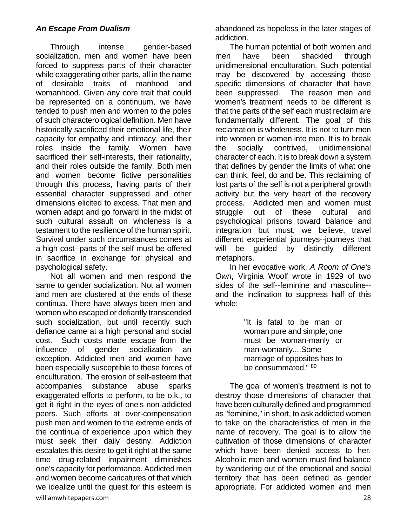## *An Escape From Dualism*

Through intense gender-based socialization, men and women have been forced to suppress parts of their character while exaggerating other parts, all in the name of desirable traits of manhood and womanhood. Given any core trait that could be represented on a continuum, we have tended to push men and women to the poles of such characterological definition. Men have historically sacrificed their emotional life, their capacity for empathy and intimacy, and their roles inside the family. Women have sacrificed their self-interests, their rationality, and their roles outside the family. Both men and women become fictive personalities through this process, having parts of their essential character suppressed and other dimensions elicited to excess. That men and women adapt and go forward in the midst of such cultural assault on wholeness is a testament to the resilience of the human spirit. Survival under such circumstances comes at a high cost--parts of the self must be offered in sacrifice in exchange for physical and psychological safety.

williamwhitepapers.com 28 Not all women and men respond the same to gender socialization. Not all women and men are clustered at the ends of these continua. There have always been men and women who escaped or defiantly transcended such socialization, but until recently such defiance came at a high personal and social cost. Such costs made escape from the influence of gender socialization an exception. Addicted men and women have been especially susceptible to these forces of enculturation. The erosion of self-esteem that accompanies substance abuse sparks exaggerated efforts to perform, to be o.k., to get it right in the eyes of one's non-addicted peers. Such efforts at over-compensation push men and women to the extreme ends of the continua of experience upon which they must seek their daily destiny. Addiction escalates this desire to get it right at the same time drug-related impairment diminishes one's capacity for performance. Addicted men and women become caricatures of that which we idealize until the quest for this esteem is

abandoned as hopeless in the later stages of addiction.

The human potential of both women and men have been shackled through unidimensional enculturation. Such potential may be discovered by accessing those specific dimensions of character that have been suppressed. The reason men and women's treatment needs to be different is that the parts of the self each must reclaim are fundamentally different. The goal of this reclamation is wholeness. It is not to turn men into women or women into men. It is to break the socially contrived, unidimensional character of each. It is to break down a system that defines by gender the limits of what one can think, feel, do and be. This reclaiming of lost parts of the self is not a peripheral growth activity but the very heart of the recovery process. Addicted men and women must struggle out of these cultural and psychological prisons toward balance and integration but must, we believe, travel different experiential journeys--journeys that will be guided by distinctly different metaphors.

In her evocative work, *A Room of One's Own*, Virginia Woolf wrote in 1929 of two sides of the self--feminine and masculine- and the inclination to suppress half of this whole:

> "It is fatal to be man or woman pure and simple; one must be woman-manly or man-womanly....Some marriage of opposites has to be consummated." 80

The goal of women's treatment is not to destroy those dimensions of character that have been culturally defined and programmed as "feminine," in short, to ask addicted women to take on the characteristics of men in the name of recovery. The goal is to allow the cultivation of those dimensions of character which have been denied access to her. Alcoholic men and women must find balance by wandering out of the emotional and social territory that has been defined as gender appropriate. For addicted women and men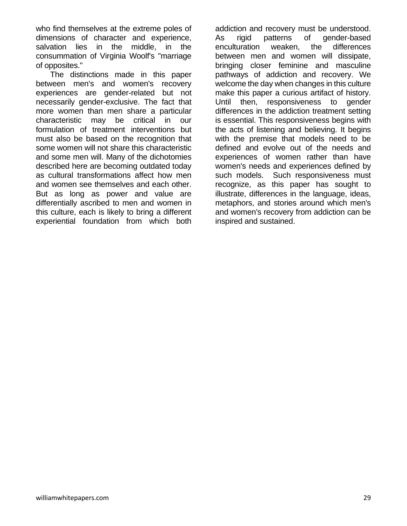who find themselves at the extreme poles of dimensions of character and experience, salvation lies in the middle, in the consummation of Virginia Woolf's "marriage of opposites."

The distinctions made in this paper between men's and women's recovery experiences are gender-related but not necessarily gender-exclusive. The fact that more women than men share a particular characteristic may be critical in our formulation of treatment interventions but must also be based on the recognition that some women will not share this characteristic and some men will. Many of the dichotomies described here are becoming outdated today as cultural transformations affect how men and women see themselves and each other. But as long as power and value are differentially ascribed to men and women in this culture, each is likely to bring a different experiential foundation from which both addiction and recovery must be understood. As rigid patterns of gender-based enculturation weaken, the differences between men and women will dissipate, bringing closer feminine and masculine pathways of addiction and recovery. We welcome the day when changes in this culture make this paper a curious artifact of history. Until then, responsiveness to gender differences in the addiction treatment setting is essential. This responsiveness begins with the acts of listening and believing. It begins with the premise that models need to be defined and evolve out of the needs and experiences of women rather than have women's needs and experiences defined by such models. Such responsiveness must recognize, as this paper has sought to illustrate, differences in the language, ideas, metaphors, and stories around which men's and women's recovery from addiction can be inspired and sustained.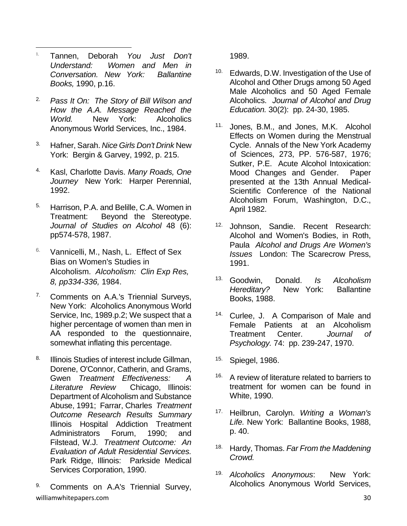- 1. Tannen, Deborah *You Just Don't Understand: Women and Men in Conversation. New York: Ballantine Books,* 1990, p.16.
- 2. *Pass It On: The Story of Bill Wilson and How the A.A. Message Reached the World.* New York: Alcoholics Anonymous World Services, Inc., 1984.
- 3. Hafner, Sarah. *Nice Girls Don't Drink* New York: Bergin & Garvey, 1992, p. 215.
- 4. Kasl, Charlotte Davis. *Many Roads, One Journey* New York: Harper Perennial, 1992.
- 5. Harrison, P.A. and Belille, C.A. Women in Treatment: Beyond the Stereotype. *Journal of Studies on Alcohol* 48 (6): pp574-578, 1987.
- <sup>6.</sup> Vannicelli, M., Nash, L. Effect of Sex Bias on Women's Studies in Alcoholism. *Alcoholism: Clin Exp Res, 8, pp334-336,* 1984.
- 7. Comments on A.A.'s Triennial Surveys, New York: Alcoholics Anonymous World Service, Inc, 1989.p.2; We suspect that a higher percentage of women than men in AA responded to the questionnaire, somewhat inflating this percentage.
- 8. Illinois Studies of interest include Gillman, Dorene, O'Connor, Catherin, and Grams, Gwen *Treatment Effectiveness: A Literature Review* Chicago, Illinois: Department of Alcoholism and Substance Abuse, 1991; Farrar, Charles *Treatment Outcome Research Results Summary* Illinois Hospital Addiction Treatment Administrators Forum, 1990; and Filstead, W.J. *Treatment Outcome: An Evaluation of Adult Residential Services.* Park Ridge, Illinois: Parkside Medical Services Corporation, 1990.
- williamwhitepapers.com 30 9. Comments on A.A's Triennial Survey,

1989.

- 10. Edwards, D.W. Investigation of the Use of Alcohol and Other Drugs among 50 Aged Male Alcoholics and 50 Aged Female Alcoholics. *Journal of Alcohol and Drug Education.* 30(2): pp. 24-30, 1985.
- 11. Jones, B.M., and Jones, M.K. Alcohol Effects on Women during the Menstrual Cycle. Annals of the New York Academy of Sciences, 273, PP. 576-587, 1976; Sutker, P.E. Acute Alcohol Intoxication: Mood Changes and Gender. Paper presented at the 13th Annual Medical-Scientific Conference of the National Alcoholism Forum, Washington, D.C., April 1982.
- 12. Johnson, Sandie. Recent Research: Alcohol and Women's Bodies, in Roth, Paula *Alcohol and Drugs Are Women's Issues* London: The Scarecrow Press, 1991.
- 13. Goodwin, Donald. *Is Alcoholism Hereditary?* New York: Ballantine Books, 1988.
- 14. Curlee, J. A Comparison of Male and Female Patients at an Alcoholism Treatment Center. *Journal of Psychology.* 74: pp. 239-247, 1970.
- 15. Spiegel, 1986.
- <sup>16.</sup> A review of literature related to barriers to treatment for women can be found in White, 1990.
- 17. Heilbrun, Carolyn. *Writing a Woman's Life.* New York: Ballantine Books, 1988, p. 40.
- 18. Hardy, Thomas. *Far From the Maddening Crowd.*
- 19. *Alcoholics Anonymous*: New York: Alcoholics Anonymous World Services,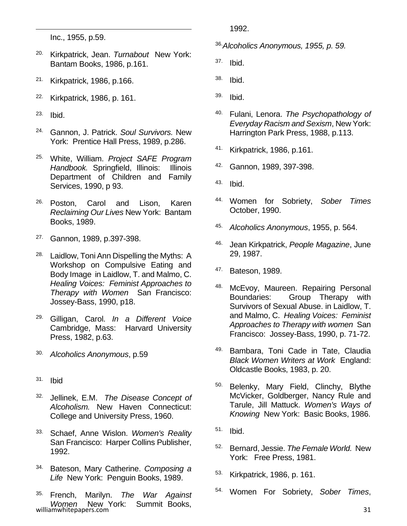Inc., 1955, p.59.

- 20. Kirkpatrick, Jean. *Turnabout* New York: Bantam Books, 1986, p.161.
- 21. Kirkpatrick, 1986, p.166.
- 22. Kirkpatrick, 1986, p. 161.
- 23. Ibid.
- 24. Gannon, J. Patrick. *Soul Survivors.* New York: Prentice Hall Press, 1989, p.286.
- 25. White, William. *Project SAFE Program Handbook.* Springfield, Illinois: Illinois Department of Children and Family Services, 1990, p 93.
- <sup>26.</sup> Poston, Carol and Lison, Karen *Reclaiming Our Lives* New York: Bantam Books, 1989.
- 27. Gannon, 1989, p.397-398.
- <sup>28.</sup> Laidlow, Toni Ann Dispelling the Myths: A Workshop on Compulsive Eating and Body Image in Laidlow, T. and Malmo, C. *Healing Voices: Feminist Approaches to Therapy with Women* San Francisco: Jossey-Bass, 1990, p18.
- 29. Gilligan, Carol. *In a Different Voice* Cambridge, Mass: Harvard University Press, 1982, p.63.
- 30. *Alcoholics Anonymous*, p.59
- 31. Ibid
- 32. Jellinek, E.M. *The Disease Concept of Alcoholism.* New Haven Connecticut: College and University Press, 1960.
- 33. Schaef, Anne Wislon. *Women's Reality* San Francisco: Harper Collins Publisher, 1992.
- 34. Bateson, Mary Catherine. *Composing a Life* New York: Penguin Books, 1989.
- williamwhitepapers.com 31 35. French, Marilyn. *The War Against Women* New York: Summit Books,

1992.

36.*Alcoholics Anonymous, 1955, p. 59.*

- 37. Ibid.
- 38. Ibid.
- 39. Ibid.
- 40. Fulani, Lenora. *The Psychopathology of Everyday Racism and Sexism*, New York: Harrington Park Press, 1988, p.113.
- 41. Kirkpatrick, 1986, p.161.
- 42. Gannon, 1989, 397-398.
- 43. Ibid.
- 44. Women for Sobriety, *Sober Times* October, 1990.
- 45. *Alcoholics Anonymous*, 1955, p. 564.
- 46. Jean Kirkpatrick, *People Magazine*, June 29, 1987.
- 47. Bateson, 1989.
- 48. McEvoy, Maureen. Repairing Personal Boundaries: Group Therapy with Survivors of Sexual Abuse. in Laidlow, T. and Malmo, C. *Healing Voices: Feminist Approaches to Therapy with women* San Francisco: Jossey-Bass, 1990, p. 71-72.
- 49. Bambara, Toni Cade in Tate, Claudia *Black Women Writers at Work* England: Oldcastle Books, 1983, p. 20.
- 50. Belenky, Mary Field, Clinchy, Blythe McVicker, Goldberger, Nancy Rule and Tarule, Jill Mattuck. *Women's Ways of Knowing* New York: Basic Books, 1986.
- 51. Ibid.
- 52. Bernard, Jessie. *The Female World.* New York: Free Press, 1981.
- 53. Kirkpatrick, 1986, p. 161.
- 54. Women For Sobriety, *Sober Times*,